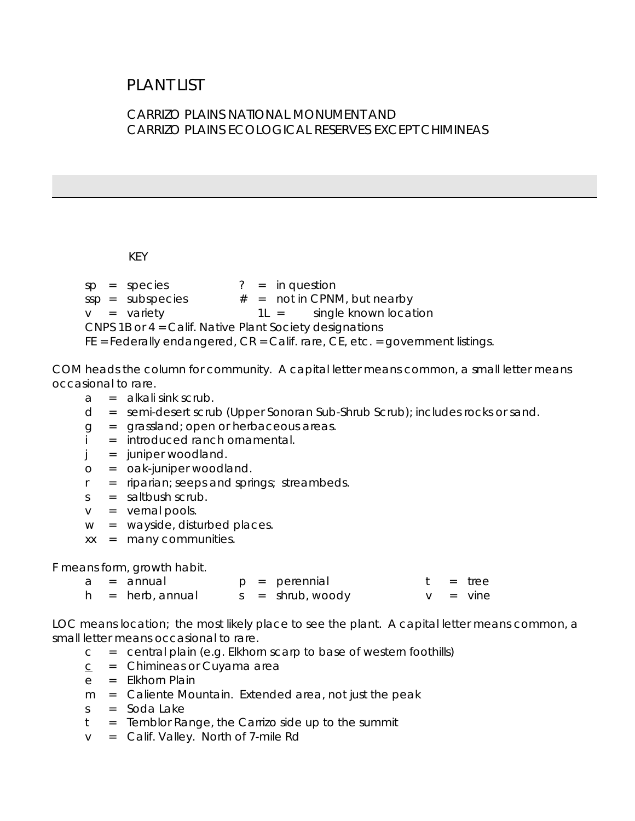# PLANT LIST

### CARRIZO PLAINS NATIONAL MONUMENT AND CARRIZO PLAINS ECOLOGICAL RESERVES EXCEPT CHIMINEAS

KEY

 $v = \text{variety}$  $sp = species$  ? = in question  $ssp = subspecies$   $# = not in CPNM, but nearby$  $1L =$  single known location CNPS 1B or 4 = Calif. Native Plant Society designations FE = Federally endangered, CR = Calif. rare, CE, etc. = government listings.

occasional to rare. COM heads the column for community. A capital letter means common, a small letter means

- $a = a$  kali sink scrub.
- d = semi-desert scrub (Upper Sonoran Sub-Shrub Scrub); includes rocks or sand.
- g = grassland; open or herbaceous areas.<br>i = introduced ranch ornamental.
- 
- = juniper woodland.
- j = juniper woodland.<br>o = oak-juniper woodland.
- r = riparian; seeps and springs; streambeds.
- $s = saltbush$  scrub.
- v = vernal pools.
- w = wayside, disturbed places.
- xx = many communities.

F means form, growth habit.

|  | a = annual          |  | $p = per$ ennial   |  | t = tree    |
|--|---------------------|--|--------------------|--|-------------|
|  | $h = herb$ , annual |  | $s = shrub, woody$ |  | $v = v$ ine |

LOC means location; the most likely place to see the plant. A capital letter means common, a small letter means occasional to rare.

- $c =$  central plain (e.g. Elkhorn scarp to base of western foothills)
- $\overline{C}$ = Chimineas or Cuyama area
- e = Elkhorn Plain
- m = Caliente Mountain. Extended area, not just the peak
- $s =$ Soda Lake
- $t =$  Temblor Range, the Carrizo side up to the summit
- v = Calif. Valley. North of 7-mile Rd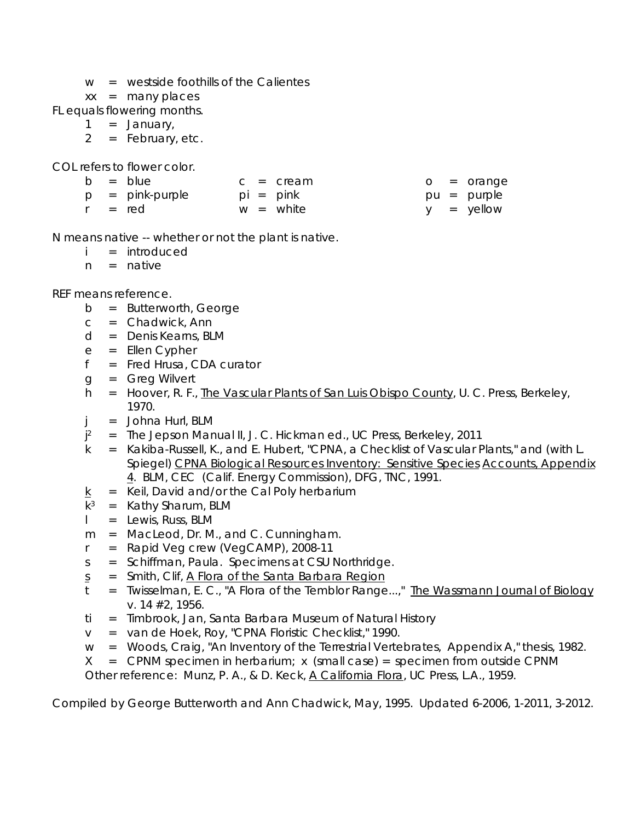- $w =$  westside foothills of the Calientes
- $xx =$  many places

FL equals flowering months. 1 = January,

- 
- 2 = February, etc.

COL refers to flower color.

|  | b = blue          |  | $c = c$ ream |  | o = orange    |
|--|-------------------|--|--------------|--|---------------|
|  | $p = pink-purple$ |  | pi = pink    |  | pu = purple   |
|  | r = red           |  | $w =$ white  |  | $y = y$ ellow |

N means native -- whether or not the plant is native.

- i = introduced
- $n =$  native

REF means reference.

- b = Butterworth, George
- $c =$  Chadwick, Ann
- d = Denis Kearns, BLM
- e = Ellen Cypher
- f = Fred Hrusa, CDA curator
- g = Greg Wilvert
- h = Hoover, R. F., The Vascular Plants of San Luis Obispo County, U. C. Press, Berkeley, 1970.
- $j =$  Johna Hurl, BLM
- $i^2$ 2 = The Jepson Manual II, J. C. Hickman ed., UC Press, Berkeley, 2011
- k = Kakiba-Russell, K., and E. Hubert, "CPNA, a Checklist of Vascular Plants," and (with L. Spiegel) CPNA Biological Resources Inventory: Sensitive Species Accounts, Appendix 4. BLM, CEC (Calif. Energy Commission), DFG, TNC, 1991.
- $k =$  Keil, David and/or the Cal Poly herbarium
- $k^3$  = Kathy Sharum, BLM
- l = Lewis, Russ, BLM
- 
- m = MacLeod, Dr. M., and C. Cunningham.<br>r = Rapid Veg crew (VegCAMP), 2008-11
- s = Schiffman, Paula. Specimens at CSU Northridge.
- s = Smith, Clif, A Flora of the Santa Barbara Region
- t. = Twisselman, E. C., "A Flora of the Temblor Range...," The Wassmann Journal of Biology v. 14 #2, 1956.
- ti = Timbrook, Jan, Santa Barbara Museum of Natural History
- v = van de Hoek, Roy, "CPNA Floristic Checklist," 1990.
- w = Woods, Craig, "An Inventory of the Terrestrial Vertebrates, Appendix A," thesis, 1982.
- $X =$  CPNM specimen in herbarium; x (small case) = specimen from outside CPNM

Other reference: Munz, P. A., & D. Keck, A California Flora, UC Press, L.A., 1959.

Compiled by George Butterworth and Ann Chadwick, May, 1995. Updated 6-2006, 1-2011, 3-2012.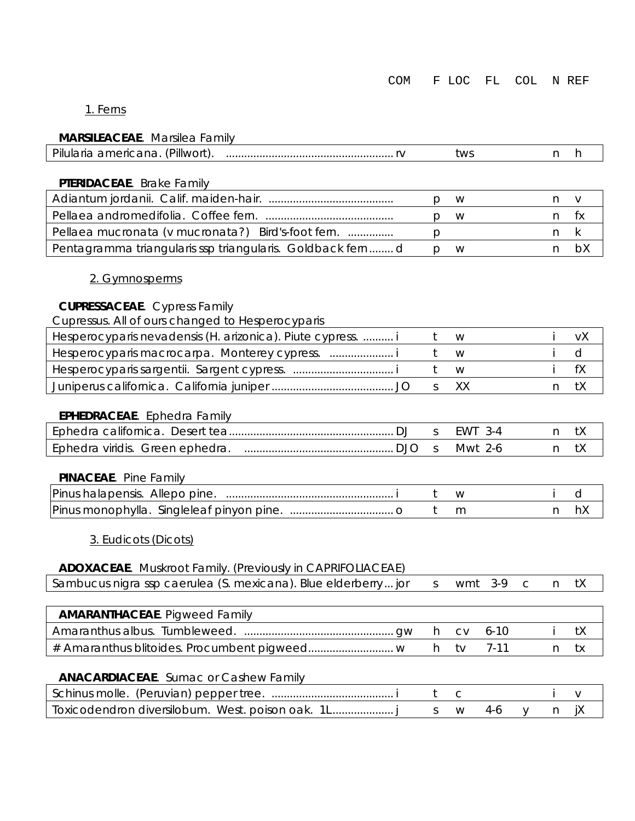| COM |  |  |  | F LOC FL COL NREF |  |
|-----|--|--|--|-------------------|--|
|-----|--|--|--|-------------------|--|

#### 1. Ferns

#### **MARSILEACEAE**. Marsilea Family

|                                                           | tws |  |     |
|-----------------------------------------------------------|-----|--|-----|
|                                                           |     |  |     |
| PTERIDACEAE. Brake Family                                 |     |  |     |
|                                                           | W   |  |     |
|                                                           | W   |  | TX. |
| Pellaea mucronata (v mucronata?) Bird's-foot fern.        |     |  |     |
| Pentagramma triangularis ssp triangularis. Goldback fernd | W   |  |     |

#### 2. Gymnosperms

#### **CUPRESSACEAE**. Cypress Family

|  | Cupressus. All of ours changed to Hesperocyparis |
|--|--------------------------------------------------|
|  |                                                  |

| Hesperocyparis nevadensis (H. arizonica). Piute cypress.  i |     | W.   |      |
|-------------------------------------------------------------|-----|------|------|
|                                                             |     |      |      |
|                                                             | t W |      |      |
|                                                             |     | S XX | n tx |

#### **EPHEDRACEAE**. Ephedra Family

|                                 |  | F WV |  |
|---------------------------------|--|------|--|
| Ephedra viridis. Green ephedra. |  | Mwt  |  |

#### **PINACEAE**. Pine Family

| Pinus<br>Aller<br>oine.<br>nalapensis.<br>ำเ                   |  |  |  |
|----------------------------------------------------------------|--|--|--|
| $P$ <i>inus</i><br>Singleleat<br>pine<br>pinyon<br>monophylla. |  |  |  |

#### 3. Eudicots (Dicots)

#### **ADOXACEAE**. Muskroot Family. (Previously in CAPRIFOLIACEAE)

| Sambucus nigra ssp caerulea (S. mexicana). Blue elderberry jor s wmt 3-9 c n tX $\vert$ |  |  |  |  |  |  |
|-----------------------------------------------------------------------------------------|--|--|--|--|--|--|
|-----------------------------------------------------------------------------------------|--|--|--|--|--|--|

| <b>AMARANTHACEAE.</b> Pigweed Family |      |  |      |  |
|--------------------------------------|------|--|------|--|
|                                      |      |  |      |  |
|                                      | h tv |  | n tx |  |

#### **ANACARDIACEAE**. Sumac or Cashew Family

| <i>Ioxicodendron diversilobum.</i> West. poison oak. 1L |  |  |  |
|---------------------------------------------------------|--|--|--|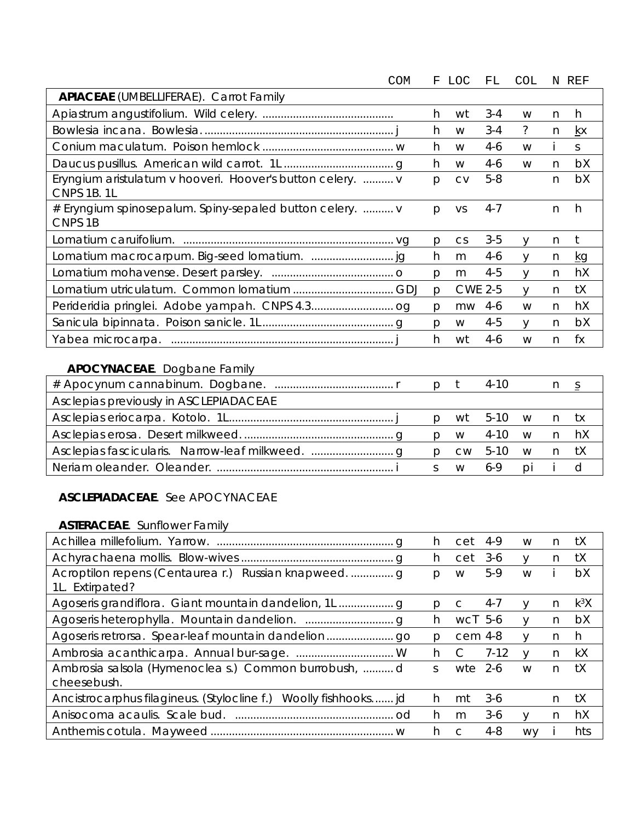| COM                                                                            | F            | LOC       | FL.            | COL          |   | N REF     |
|--------------------------------------------------------------------------------|--------------|-----------|----------------|--------------|---|-----------|
| <b>APIACEAE</b> (UMBELLIFERAE). Carrot Family                                  |              |           |                |              |   |           |
|                                                                                | h            | wt        | $3 - 4$        | W            | n | h         |
|                                                                                | h            | W         | $3 - 4$        | ?            | n | kx        |
|                                                                                | h            | W         | 4-6            | W            |   | S.        |
|                                                                                | h            | W         | $4-6$          | W            | n | bX        |
| Eryngium aristulatum v hooveri. Hoover's button celery.  v                     | p            | <b>CV</b> | $5 - 8$        |              | n | bX        |
| CNPS 1B. 1L                                                                    |              |           |                |              |   |           |
| # Eryngium spinosepalum. Spiny-sepaled button celery.  v<br>CNPS <sub>1B</sub> | p            | VS        | $4 - 7$        |              | n | h         |
|                                                                                | p            | <b>CS</b> | $3 - 5$        | V            | n | t         |
|                                                                                | h            | m         | $4-6$          | $\vee$       | n | <u>kg</u> |
|                                                                                | $\mathsf{D}$ | m         | $4 - 5$        | <sup>V</sup> | n | hX        |
|                                                                                | $\mathsf{D}$ |           | <b>CWE 2-5</b> | $\vee$       | n | tX        |
|                                                                                | p            | mw        | 4-6            | W            | n | hX        |
|                                                                                | $\mathsf{D}$ | W         | $4-5$          | $\vee$       | n | bX        |
| Yabea microcarpa.                                                              | h            | wt        | $4-6$          | W            | n | fx        |

## **APOCYNACEAE**. Dogbane Family

|                                        |              |    | $4 - 1()$      |    |  |
|----------------------------------------|--------------|----|----------------|----|--|
| Asclepias previously in ASCLEPIADACEAE |              |    |                |    |  |
|                                        |              |    | wt 5-10 w n tx |    |  |
|                                        |              |    | w 4-10 w n hX  |    |  |
|                                        | $\mathsf{D}$ |    | cw 5-10 w n tX |    |  |
|                                        |              | W. | 6-9            | DÌ |  |

### **ASCLEPIADACEAE**. See APOCYNACEAE

#### **ASTERACEAE**. Sunflower Family

|                                                                  | h.            | cet       | 4-9      | W         | n. | tΧ     |
|------------------------------------------------------------------|---------------|-----------|----------|-----------|----|--------|
|                                                                  | h.            | cet       | $3-6$    | $\vee$    | n  | tX     |
|                                                                  | Ŋ.            | W         | $5-9$    | W         |    | bX     |
| 1L. Extirpated?                                                  |               |           |          |           |    |        |
|                                                                  | р             | C         | $4 - 7$  | V         | n  | $k^3X$ |
|                                                                  | h.            | $WCI$ 5-6 |          | $\vee$    | n. | bX     |
|                                                                  | Ŋ             | cem 4-8   |          | V         | n  | h      |
|                                                                  | h.            | C         | $7 - 12$ | $\vee$    | n. | kX     |
| Ambrosia salsola (Hymenoclea s.) Common burrobush, d             | $\mathcal{S}$ | wte       | $2-6$    | W         | n. | tX     |
| cheesebush.                                                      |               |           |          |           |    |        |
| Ancistrocarphus filagineus. (Stylocline f.) Woolly fishhooks jd. | h.            | mt        | $3-6$    |           | n. | tΧ     |
|                                                                  | h.            | m         | $3-6$    | $\vee$    | n  | hX     |
|                                                                  | h             |           | 4-8      | <b>WV</b> |    | hts    |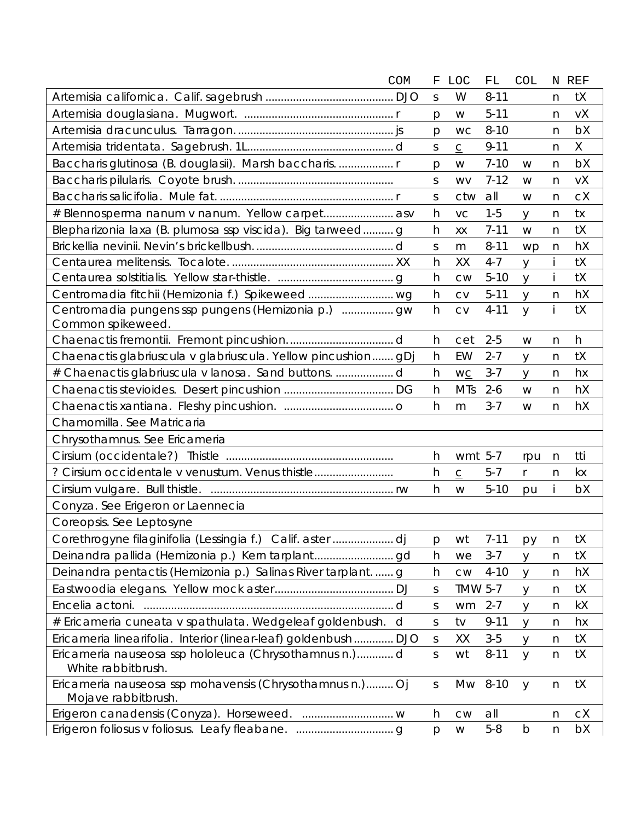|                                                                | COM | F            | <b>LOC</b>               | FL       | <b>COL</b>     |                  | N REF |
|----------------------------------------------------------------|-----|--------------|--------------------------|----------|----------------|------------------|-------|
|                                                                |     | S            | W                        | $8 - 11$ |                | n                | tX    |
|                                                                |     | p            | W                        | $5 - 11$ |                | $\mathsf{n}$     | vΧ    |
|                                                                |     | p            | <b>WC</b>                | $8 - 10$ |                | n                | bX    |
|                                                                |     | S            | $\underline{\mathsf{C}}$ | $9 - 11$ |                | n                | X     |
| Baccharis glutinosa (B. douglasii). Marsh baccharis.  r        |     | p            | W                        | $7 - 10$ | W              | n                | bX    |
|                                                                |     | $\mathsf S$  | <b>WV</b>                | $7 - 12$ | W              | n                | vX    |
|                                                                |     | S            | ctw                      | all      | W              | n                | cX    |
| # Blennosperma nanum v nanum. Yellow carpet asv                |     | h            | VC                       | $1 - 5$  | y              | n                | tx    |
| Blepharizonia laxa (B. plumosa ssp viscida). Big tarweedg      |     | h            | XX                       | $7 - 11$ | W              | n                | tX    |
|                                                                |     | $\mathsf S$  | m                        | $8 - 11$ | wp             | n                | hX    |
|                                                                |     | h            | XX                       | $4 - 7$  | y              | İ                | tX    |
|                                                                |     | h            | <b>CW</b>                | $5 - 10$ | y              | Ť                | tX    |
|                                                                |     | h            | <b>CV</b>                | $5 - 11$ | $\mathsf{y}$   | n                | hX    |
| Common spikeweed.                                              |     | h            | <b>CV</b>                | $4 - 11$ | $\overline{y}$ | İ                | tX    |
|                                                                |     | h            | cet                      | $2 - 5$  | W              | n                | h     |
| Chaenactis glabriuscula v glabriuscula. Yellow pincushion gDj  |     | h            | EW                       | $2 - 7$  | y              | n                | tX    |
| # Chaenactis glabriuscula v lanosa. Sand buttonsd              |     | h            | W <sub>C</sub>           | $3 - 7$  | y              | n                | hx    |
|                                                                |     | h            | <b>MTs</b>               | $2 - 6$  | W              | n                | hX    |
|                                                                |     | h            | m                        | $3 - 7$  | W              | n                | hX    |
| Chamomilla. See Matricaria                                     |     |              |                          |          |                |                  |       |
| Chrysothamnus. See Ericameria                                  |     |              |                          |          |                |                  |       |
|                                                                |     | h            | wmt 5-7                  |          | rpu            | n                | tti   |
| ? Cirsium occidentale v venustum. Venus thistle                |     | h            | $\underline{\mathsf{C}}$ | $5 - 7$  | r              | n                | kx    |
|                                                                |     | h            | W                        | $5 - 10$ | pu             |                  | bX    |
| Conyza. See Erigeron or Laennecia                              |     |              |                          |          |                |                  |       |
| Coreopsis. See Leptosyne                                       |     |              |                          |          |                |                  |       |
| Corethrogyne filaginifolia (Lessingia f.) Calif. aster dj      |     |              | p wt                     |          | 7-11 $py_n$    |                  | tX    |
|                                                                |     | h            | we                       | $3 - 7$  | y              | n                | tX    |
| Deinandra pentactis (Hemizonia p.) Salinas River tarplantg     |     | h            | CW                       | $4 - 10$ | y              | n                | hX    |
|                                                                |     | $\mathsf S$  | <b>TMW 5-7</b>           |          | У              | n                | tX    |
| Encelia actoni.                                                | d   | S            | wm                       | $2 - 7$  | y              | n                | kX    |
| # Ericameria cuneata v spathulata. Wedgeleaf goldenbush.       | d   | S            | tv                       | $9 - 11$ | y              | n                | hx    |
| Ericameria linearifolia. Interior (linear-leaf) goldenbush DJO |     | $\mathsf S$  | XX                       | $3-5$    | y              | n                | tX    |
| Ericameria nauseosa ssp hololeuca (Chrysothamnus n.)d          |     | $\mathsf S$  | wt                       | $8 - 11$ | $\mathsf{y}$   | $\boldsymbol{n}$ | tX    |
| White rabbitbrush.                                             |     |              |                          |          |                |                  |       |
| Ericameria nauseosa ssp mohavensis (Chrysothamnus n.) Oj       |     | S            |                          | Mw 8-10  | y              | $\mathsf{n}$     | tX    |
| Mojave rabbitbrush.                                            |     |              |                          |          |                |                  |       |
|                                                                |     | h            | ${\sf\small CW}$         | all      |                | n                | cX    |
|                                                                |     | $\mathsf{p}$ | ${\sf W}$                | $5 - 8$  | $\mathsf b$    | n                | bX    |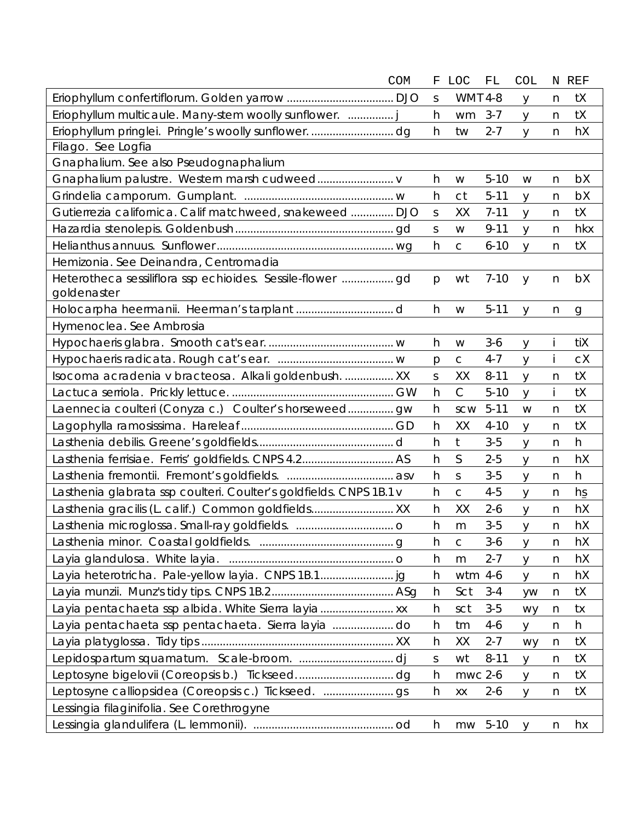|                                                                    | COM | F | <b>LOC</b>     | FL       | COL          |              | N REF        |
|--------------------------------------------------------------------|-----|---|----------------|----------|--------------|--------------|--------------|
|                                                                    |     | S | <b>WMT 4-8</b> |          | y            | n            | tX           |
| Eriophyllum multicaule. Many-stem woolly sunflower.  j             |     | h | wm             | $3 - 7$  | y            | n            | tX           |
|                                                                    |     | h | tw             | $2 - 7$  | y            | n            | hX           |
| Filago. See Logfia                                                 |     |   |                |          |              |              |              |
| Gnaphalium. See also Pseudognaphalium                              |     |   |                |          |              |              |              |
|                                                                    |     | h | W              | $5 - 10$ | W            | $\mathsf{n}$ | bX           |
|                                                                    |     | h | <b>ct</b>      | $5 - 11$ | y            | n            | bX           |
| Gutierrezia californica. Calif matchweed, snakeweed  DJO           |     | S | XX             | $7 - 11$ | y            | n            | tX           |
|                                                                    |     | S | W              | $9 - 11$ | y            | n            | hkx          |
|                                                                    |     | h | $\mathsf C$    | $6 - 10$ | y            | n            | tX           |
| Hemizonia. See Deinandra, Centromadia                              |     |   |                |          |              |              |              |
| goldenaster                                                        |     | p | wt             | $7 - 10$ | $\mathsf{y}$ | n            | bX           |
|                                                                    |     | h | W              | $5 - 11$ | V            | n            | $\mathbf{g}$ |
| Hymenoclea. See Ambrosia                                           |     |   |                |          |              |              |              |
|                                                                    |     | h | W              | $3-6$    | y            |              | tiX          |
|                                                                    |     | p | $\mathsf C$    | $4 - 7$  | y            |              | cX           |
| Isocoma acradenia v bracteosa. Alkali goldenbush.  XX              |     | S | XX             | $8 - 11$ | y            | n            | tX           |
|                                                                    |     | h | $\mathsf C$    | $5 - 10$ | y            | Ť            | tX           |
| Laennecia coulteri (Conyza c.) Coulter's horseweed gw              |     | h | SCW            | $5 - 11$ | W            | n            | tX           |
|                                                                    |     | h | XX             | $4 - 10$ | y            | n            | tX           |
|                                                                    |     | h | t              | $3-5$    | y            | n            | h            |
|                                                                    |     | h | S              | $2 - 5$  | y            | n            | hX           |
|                                                                    |     | h | $\mathsf{S}$   | $3 - 5$  | y            | $\mathsf{n}$ | h            |
| Lasthenia glabrata ssp coulteri. Coulter's goldfields. CNPS 1B.1 v |     | h | $\mathsf{C}$   | $4 - 5$  | y            | n            | $h$ s        |
| Lasthenia gracilis (L. calif.) Common goldfields XX                |     | h | XX             | $2 - 6$  | y            | n            | hX           |
|                                                                    |     | h | m              | $3-5$    | y            | n            | hX           |
|                                                                    |     | n | $\mathsf C$    | 3-6      | У            | n            | hX           |
|                                                                    |     | h | m              | $2 - 7$  | y            | n            | hX           |
|                                                                    |     | h | wtm 4-6        |          | y            | n            | hX           |
|                                                                    |     | h | Sct            | $3 - 4$  | yw           | n            | tX           |
| Layia pentachaeta ssp albida. White Sierra layia                   |     | h | sct            | $3-5$    | wy           | n            | tx           |
| Layia pentachaeta ssp pentachaeta. Sierra layia do                 |     | h | tm             | $4 - 6$  | y            | n            | h            |
|                                                                    |     | h | XX             | $2 - 7$  | wy           | $\mathsf{n}$ | tX           |
|                                                                    |     | S | wt             | $8 - 11$ | y            | n            | tX           |
|                                                                    |     | h | mwc 2-6        |          | y            | n            | tX           |
|                                                                    |     | h | XX             | $2 - 6$  | y            | $\mathsf{n}$ | tX           |
| Lessingia filaginifolia. See Corethrogyne                          |     |   |                |          |              |              |              |
|                                                                    |     | h | mw 5-10        |          | <b>y</b>     | $\mathsf{n}$ | hx           |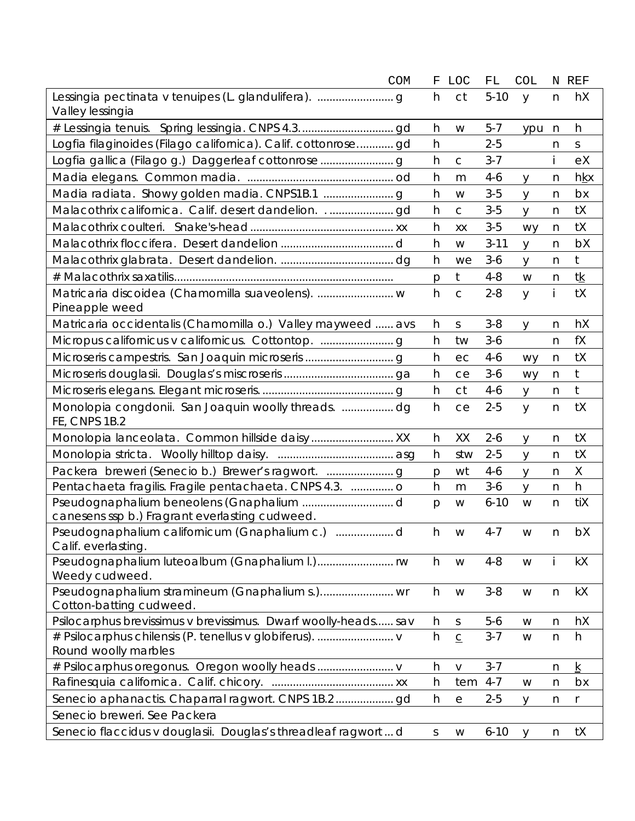| COM                                                                             | $\mathbf F$  | <b>LOC</b>   | FL       | <b>COL</b> |              | N REF           |
|---------------------------------------------------------------------------------|--------------|--------------|----------|------------|--------------|-----------------|
| Valley lessingia                                                                | h            | ct           | $5 - 10$ | y          | n            | hX              |
|                                                                                 | h            | W            | $5 - 7$  | ypu        | n            | h               |
| Logfia filaginoides (Filago californica). Calif. cottonrose gd                  | h            |              | $2 - 5$  |            | n            | S               |
| Logfia gallica (Filago g.) Daggerleaf cottonrose                                | h            | $\mathsf C$  | $3 - 7$  |            | İ.           | eX              |
|                                                                                 | h            | m            | 4-6      | y          | n            | <u>hkx</u>      |
|                                                                                 | h            | W            | $3-5$    | У          | n            | bx              |
|                                                                                 | h            | $\mathsf{C}$ | $3 - 5$  | y          | n            | tX              |
|                                                                                 | h            | XX           | $3-5$    | wy         | n            | tX              |
|                                                                                 | h            | W            | $3 - 11$ | У          | n            | bX              |
|                                                                                 | h            | we           | $3-6$    | у          | n            | $\mathfrak{t}$  |
|                                                                                 | p            | $t$          | $4 - 8$  | W          | n            | tk              |
| Pineapple weed                                                                  | h            | $\mathsf{C}$ | $2 - 8$  | y          | i            | tX              |
| Matricaria occidentalis (Chamomilla o.) Valley mayweed  avs                     | h            | S            | $3 - 8$  | У          | n            | hX              |
|                                                                                 | h            | tw           | $3 - 6$  |            | n            | fX              |
|                                                                                 | h            | ec           | $4 - 6$  | wy         | n            | tX              |
|                                                                                 | h            | ce           | $3-6$    | wy         | n            | t               |
|                                                                                 | h            | <b>ct</b>    | $4 - 6$  | У          | n            | $t$             |
| Monolopia congdonii. San Joaquin woolly threads. dg<br>FE, CNPS 1B.2            | h            | ce           | $2 - 5$  | y          | n            | tX              |
|                                                                                 | h            | XX           | $2 - 6$  | y          | n            | tX              |
|                                                                                 | h            | stw          | $2 - 5$  | У          | n            | tX              |
| Packera breweri (Senecio b.) Brewer's ragwort.                                  | p            | wt           | $4 - 6$  | У          | n            | Χ               |
| Pentachaeta fragilis. Fragile pentachaeta. CNPS 4.3.  o                         | h            | m            | $3-6$    | У          | n            | h               |
| canesens ssp b.) Fragrant everlasting cudweed.                                  | p            | W            | $6 - 10$ | W          | $\mathsf{n}$ | tiX             |
| Calif. everlasting.                                                             | h            | W            | $4 - 7$  | W          | n            | bX              |
| Weedy cudweed.                                                                  | h            | W            | $4 - 8$  | W          |              | kX              |
| Cotton-batting cudweed.                                                         | h            | W            | $3 - 8$  | W          | n            | kX              |
| Psilocarphus brevissimus v brevissimus. Dwarf woolly-heads sav                  | h            | $\mathsf S$  | $5-6$    | W          | $\mathsf{n}$ | hX              |
| # Psilocarphus chilensis (P. tenellus v globiferus).  v<br>Round woolly marbles | h            | $\subseteq$  | $3 - 7$  | W          | $\mathsf{n}$ | h               |
|                                                                                 | h            | $\vee$       | $3 - 7$  |            | n            | $\underline{k}$ |
|                                                                                 | h            | tem          | $4 - 7$  | W          | n            | bx              |
|                                                                                 | h            | е            | $2 - 5$  | У          | n            | r               |
| Senecio breweri. See Packera                                                    |              |              |          |            |              |                 |
| Senecio flaccidus v douglasii. Douglas's threadleaf ragwortd                    | $\mathsf{S}$ | W            | $6 - 10$ | y          | $\mathsf{n}$ | tX              |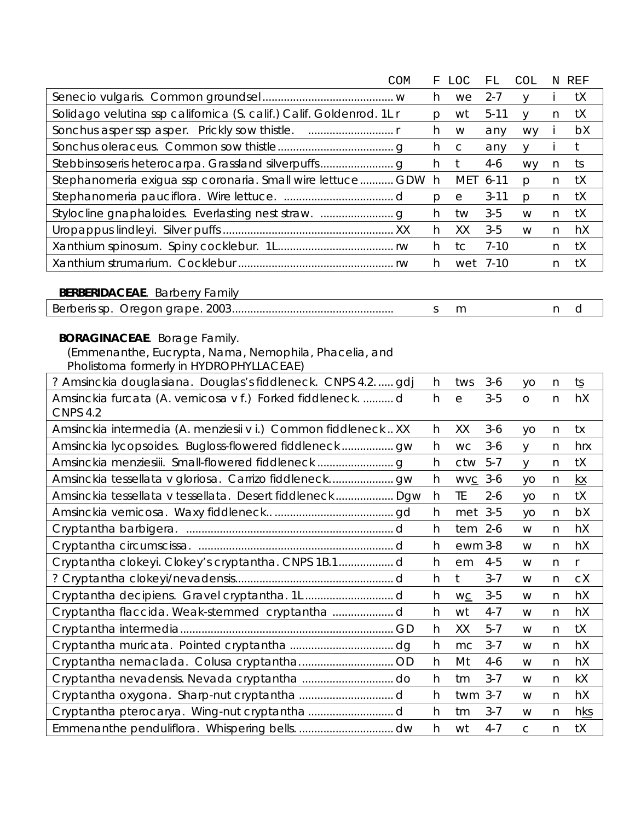|                                                                      | COM | F            | <b>LOC</b>  | FL       | COL          |              | N REF        |
|----------------------------------------------------------------------|-----|--------------|-------------|----------|--------------|--------------|--------------|
|                                                                      |     | h            | we          | $2 - 7$  | y            | İ            | tX           |
| Solidago velutina ssp californica (S. calif.) Calif. Goldenrod. 1L r |     | $\mathsf{p}$ | wt          | $5 - 11$ | y            | n            | tX           |
|                                                                      |     | h            | W           | any      | wy           | j.           | bX           |
|                                                                      |     | h            | $\mathsf C$ | any      | y            | j            | $\mathsf{t}$ |
|                                                                      |     | h            | t           | $4-6$    | wy           | n            | ts           |
| Stephanomeria exigua ssp coronaria. Small wire lettuce GDW           |     | h            | <b>MET</b>  | $6 - 11$ | p            | n            | tX           |
|                                                                      |     | p            | $\rm e$     | $3 - 11$ | $\mathsf{p}$ | n            | tX           |
|                                                                      |     | h            | tw          | $3-5$    | W            | $\mathsf{n}$ | tX           |
|                                                                      |     | h            | XX          | $3 - 5$  | W            | n            | hX           |
|                                                                      |     | h            | tc          | $7 - 10$ |              | n            | tX           |
|                                                                      |     | h            | wet         | $7 - 10$ |              | n            | tX           |
|                                                                      |     |              |             |          |              |              |              |
| <b>BERBERIDACEAE.</b> Barberry Family                                |     |              |             |          |              |              |              |
|                                                                      |     | $\mathsf S$  | m           |          |              | n            | d            |
| <b>BORAGINACEAE</b> . Borage Family.                                 |     |              |             |          |              |              |              |
| (Emmenanthe, Eucrypta, Nama, Nemophila, Phacelia, and                |     |              |             |          |              |              |              |
| Pholistoma formerly in HYDROPHYLLACEAE)                              |     |              |             |          |              |              |              |
| ? Amsinckia douglasiana. Douglas's fiddleneck. CNPS 4.2 gdj          |     | h            | tws         | $3-6$    | yo           | $\mathsf{n}$ | ts           |
| Amsinckia furcata (A. vernicosa v f.) Forked fiddleneck.  d          |     | h            | $\rm e$     | $3 - 5$  | $\bigcirc$   | n            | hX           |
| <b>CNPS 4.2</b>                                                      |     |              |             |          |              |              |              |
| Amsinckia intermedia (A. menziesii v i.) Common fiddleneck XX        |     | h            | XX          | $3-6$    | yo           | n            | tx           |
|                                                                      |     | h            | <b>WC</b>   | $3-6$    | y            | n            | hrx          |
|                                                                      |     | h            | ctw         | $5 - 7$  | y            | n            | tX           |
|                                                                      |     | h            | WVC 3-6     |          | yo           | n            | kx           |
| Amsinckia tessellata v tessellata. Desert fiddleneck Dqw             |     | h            | TE          | $2 - 6$  | yo           | n            | tX           |
|                                                                      |     | h            | met         | $3 - 5$  | yo           | n            | bX           |
|                                                                      |     | h            | $tem$ 2-6   |          | W            | n            | hX           |
|                                                                      |     | h            | ewm 3-8     |          | W            | n            | hX           |
| Cryptantha clokeyi. Clokey's cryptantha. CNPS 1B.1 d                 |     | h            | em          | $4 - 5$  | W            | n            |              |
|                                                                      |     | h            | t           | $3 - 7$  | W            | n            | сX           |
|                                                                      |     | h            | WC          | $3 - 5$  | W            | n            | hX           |
| Cryptantha flaccida. Weak-stemmed cryptantha d                       |     | h            | wt          | $4 - 7$  | W            | n            | hX           |
|                                                                      |     | h            | XX          | $5 - 7$  | W            | n            | tX           |
|                                                                      |     | h            | mc          | $3 - 7$  | W            | n            | hX           |
|                                                                      |     | h            | Mt          | $4-6$    | W            | n            | hX           |
|                                                                      |     | h            | tm          | $3 - 7$  | W            | n            | kX           |
|                                                                      |     | h            | twm         | $3 - 7$  | W            | n            | hX           |
|                                                                      |     | h            | tm          | $3 - 7$  | W            | n            | <u>hks</u>   |
|                                                                      |     | h            | wt          | $4 - 7$  | $\mathsf C$  | n            | tX           |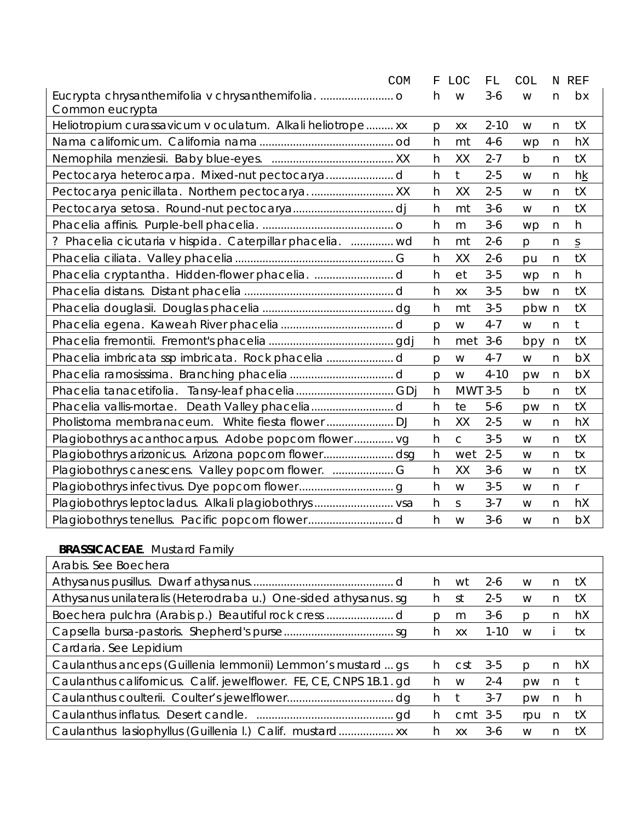|                                                            | <b>COM</b><br>F | <b>LOC</b>   | ${\rm FL}$ | <b>COL</b>  |              | N REF          |
|------------------------------------------------------------|-----------------|--------------|------------|-------------|--------------|----------------|
|                                                            | h               | W            | $3 - 6$    | W           | n            | bx             |
| Common eucrypta                                            |                 |              |            |             |              |                |
| Heliotropium curassavicum v oculatum. Alkali heliotrope xx | р               | XX           | $2 - 10$   | W           | n            | tX             |
|                                                            | h               | mt           | $4 - 6$    | wp          | n            | hX             |
|                                                            | h               | XX           | $2 - 7$    | b           | n            | tX             |
|                                                            | h               | t            | $2 - 5$    | W           | n            | hk             |
|                                                            | h               | XX           | $2 - 5$    | W           | n            | tX             |
|                                                            | h               | mt           | $3 - 6$    | W           | n            | tX             |
|                                                            | h               | m            | $3 - 6$    | wp          | $\mathsf{n}$ | h              |
| ? Phacelia cicutaria v hispida. Caterpillar phacelia.  wd  | h               | mt           | $2 - 6$    | p           | n            | $\overline{S}$ |
|                                                            | h               | XX           | $2 - 6$    | pu          | n            | tX             |
|                                                            | h               | et           | $3-5$      | wp          | $\mathsf{n}$ | h              |
|                                                            | h               | XX           | $3 - 5$    | bw          | $\mathsf{n}$ | tX             |
|                                                            | h               | mt           | $3 - 5$    | pbw n       |              | tX             |
|                                                            | p               | W            | $4 - 7$    | W           | n            | $†$            |
|                                                            | h               | met          | $3-6$      | bpy         | $\mathsf{n}$ | tX             |
|                                                            | p               | W            | $4 - 7$    | W           | n            | bX             |
|                                                            | p               | W            | $4 - 10$   | pw          | n            | bX             |
| Phacelia tanacetifolia. Tansy-leaf phaceliaGDj             | h               |              | MWT 3-5    | $\mathsf b$ | n            | tX             |
| Phacelia vallis-mortae.                                    | h               | te           | $5-6$      | pw          | n            | tX             |
|                                                            | h               | XX           | $2 - 5$    | W           | n            | hX             |
| Plagiobothrys acanthocarpus. Adobe popcorn flower vg       | h               | $\mathsf{C}$ | $3-5$      | W           | n            | tX             |
| Plagiobothrys arizonicus. Arizona popcorn flowerdsg        | h               | wet          | $2 - 5$    | W           | n            | tx             |
| Plagiobothrys canescens. Valley popcorn flower.  G         | h               | XX           | $3-6$      | W           | n            | tX             |
|                                                            | h               | W            | $3 - 5$    | W           | n            | $\mathsf{r}$   |
|                                                            | h               | $\mathsf S$  | $3 - 7$    | W           | n            | hX             |
|                                                            | h               | W            | $3 - 6$    | W           | n            | bX             |

## **BRASSICACEAE**. Mustard Family **Container and Container and Container and Container and Container and Container and Container and Container and Container and Container and Container and Container and Container and Containe**

| Arabis. See Boechera                                              |    |            |          |           |    |    |
|-------------------------------------------------------------------|----|------------|----------|-----------|----|----|
|                                                                   | h. | wt         | $2 - 6$  | W         | n. | tX |
| Athysanus unilateralis (Heterodraba u.) One-sided athysanus.sg    | h. | .st        | $2 - 5$  | W         | n  | tX |
|                                                                   | Ŋ  | m          | 3-6      | D         | n  | hX |
|                                                                   | h  | XX         | $1 - 10$ | W         |    | tx |
| Cardaria. See Lepidium                                            |    |            |          |           |    |    |
| Caulanthus anceps (Guillenia lemmonii) Lemmon's mustard  qs       | h. | <b>CSt</b> | 3-5      | p         | n. | hX |
| Caulanthus californicus. Calif. jewelflower. FE, CE, CNPS 1B.1.gd | h. | W          | $2 - 4$  | <b>DW</b> | n  |    |
|                                                                   | h. |            | $3 - 7$  | <b>DW</b> | n  | h  |
|                                                                   | h. | $cmt$ 3-5  |          | rpu       | n  | tX |
| Caulanthus lasiophyllus (Guillenia I.) Calif. mustard xx          | h  | XX         | 3-6      | W         | n  | tΧ |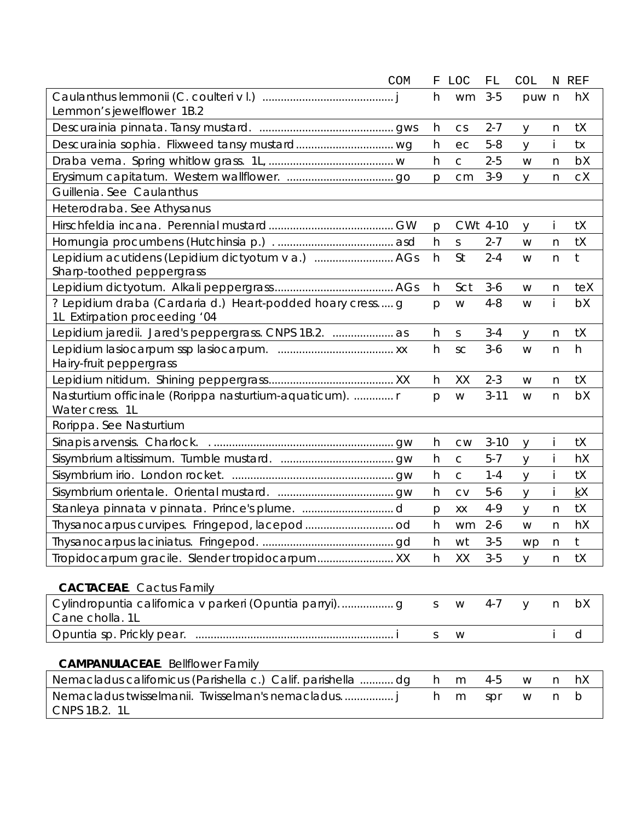| <b>COM</b>                                                                                 | F            | LOC         | FL       | <b>COL</b> | N            | REF |
|--------------------------------------------------------------------------------------------|--------------|-------------|----------|------------|--------------|-----|
| Lemmon's jewelflower 1B.2                                                                  | h            | wm          | $3-5$    | puw n      |              | hX  |
|                                                                                            | h            | CS          | $2 - 7$  | y          | n            | tX  |
|                                                                                            | h            | ec          | $5 - 8$  | y          |              | tx  |
|                                                                                            | h            | $\mathsf C$ | $2 - 5$  | W          | n            | bX  |
|                                                                                            | $\mathsf{p}$ | cm          | $3-9$    | y          | n            | сX  |
| Guillenia. See Caulanthus                                                                  |              |             |          |            |              |     |
| Heterodraba. See Athysanus                                                                 |              |             |          |            |              |     |
|                                                                                            | p            |             | CWt 4-10 | y          |              | tX  |
|                                                                                            | h            | $\mathsf S$ | $2 - 7$  | W          | n            | tX  |
| Lepidium acutidens (Lepidium dictyotum v a.)  AGs                                          | h            | St          | $2 - 4$  | W          | n            | t   |
| Sharp-toothed peppergrass                                                                  |              |             |          |            |              |     |
|                                                                                            | h            | Sct         | $3-6$    | W          | n            | teX |
| ? Lepidium draba (Cardaria d.) Heart-podded hoary cress g<br>1L Extirpation proceeding '04 | p            | W           | $4 - 8$  | W          | İ.           | bX  |
| Lepidium jaredii. Jared's peppergrass. CNPS 1B.2.  as                                      | h            | S           | $3 - 4$  | y          | n            | tX  |
| Hairy-fruit peppergrass                                                                    | h            | SC          | $3-6$    | W          | n            | h   |
|                                                                                            | h            | XX          | $2 - 3$  | W          | n            | tX  |
| Nasturtium officinale (Rorippa nasturtium-aquaticum).  r                                   | p            | W           | $3 - 11$ | W          | n            | bX  |
| Water cress. 1L                                                                            |              |             |          |            |              |     |
| Rorippa. See Nasturtium                                                                    |              |             |          |            |              |     |
|                                                                                            | h            | <b>CW</b>   | $3 - 10$ | y          |              | tX  |
|                                                                                            | h            | C           | $5 - 7$  | y          |              | hX  |
|                                                                                            | h            | $\mathsf C$ | $1 - 4$  | y          |              | tX  |
|                                                                                            | h            | <b>CV</b>   | $5 - 6$  | y          |              | kX  |
|                                                                                            | $\mathsf{p}$ | XX          | $4 - 9$  | y          | n            | tX  |
|                                                                                            | h            | wm          | $2 - 6$  | W          | n            | hX  |
|                                                                                            | h            | wt          | $3 - 5$  | wp         | n            | t   |
|                                                                                            | h            | XX          | $3 - 5$  | y          | n            | tX  |
| <b>CACTACEAE.</b> Cactus Family                                                            |              |             |          |            |              |     |
| Cane cholla. 1L                                                                            | $\mathsf S$  | W           | $4 - 7$  | y          | $\mathsf{n}$ | bX  |
|                                                                                            | $\mathsf S$  | W           |          |            | İ            | d   |
| <b>CAMPANULACEAE.</b> Bellflower Family                                                    |              |             |          |            |              |     |
| Nemacladus californicus (Parishella c.) Calif. parishella  dg                              | h            | m           | $4 - 5$  | W          | n            | hX  |
| Nemacladus twisselmanii. Twisselman's nemacladus<br>CNPS 1B.2. 1L                          | h            | m           | spr      | W          | n            | b   |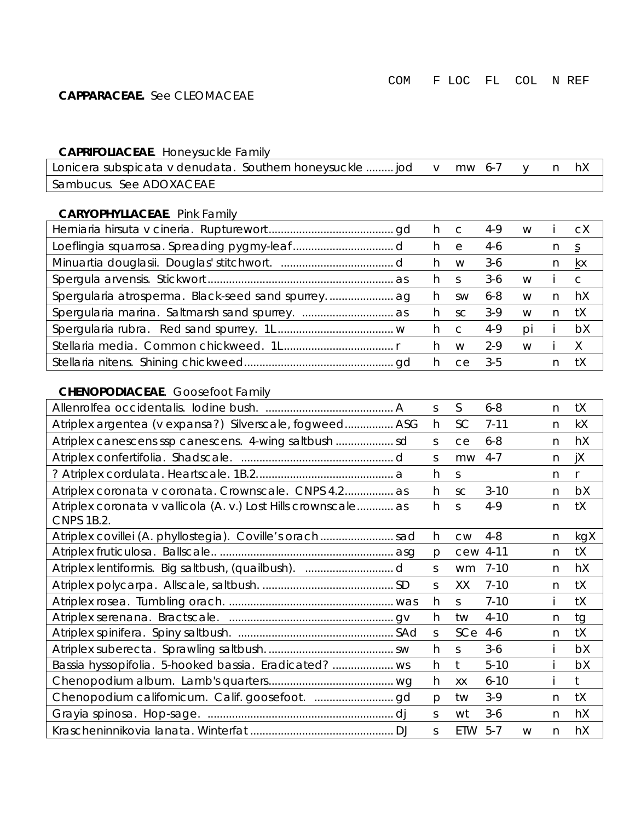#### **CAPPARACEAE.** See CLEOMACEAE

#### **CAPRIFOLIACEAE**. Honeysuckle Family

| Lonicera subspicata v denudata. Southern honeysuckle  jod v mw 6-7 y |  |  |  |
|----------------------------------------------------------------------|--|--|--|
| Sambucus. See ADOXACEAE                                              |  |  |  |

#### **CARYOPHYLLACEAE**. Pink Family

| h c |                | 4-9     | W  |    | СX        |
|-----|----------------|---------|----|----|-----------|
| h.  | e              | $4-6$   |    |    | S.        |
| h.  | W              | $3-6$   |    |    | КX        |
| h.  |                | $3-6$   | W  |    | $\subset$ |
| h.  | <b>SW</b>      | $6 - 8$ | W  | n  | hX        |
| h.  | SC.            | $3-9$   | W  | n. | tΧ        |
| h.  | $\overline{C}$ | 4-9     | DI |    | bX        |
|     | M              | $2-9$   | W  |    |           |
| h.  | Ce.            | $3-5$   |    |    | tX        |

#### **CHENOPODIACEAE**. Goosefoot Family

|                                                                                     | S. | S          | $6 - 8$  |   | n  | tX           |
|-------------------------------------------------------------------------------------|----|------------|----------|---|----|--------------|
| Atriplex argentea (v expansa?) Silverscale, fogweed ASG                             | h  | SC         | $7 - 11$ |   | n. | kX           |
|                                                                                     | S. | ce         | $6 - 8$  |   | n. | hX           |
|                                                                                     | S. | mw         | $4 - 7$  |   | n  | jX           |
|                                                                                     | h  | S.         |          |   | n  | $\mathsf{r}$ |
| Atriplex coronata v coronata. Crownscale. CNPS 4.2 as                               | h  | <b>SC</b>  | $3 - 10$ |   | n  | bX           |
| Atriplex coronata v vallicola (A. v.) Lost Hills crownscale as<br><b>CNPS 1B.2.</b> | h  | S          | $4 - 9$  |   | n  | tX           |
| Atriplex covillei (A. phyllostegia). Coville's orachsad                             | h  | <b>CW</b>  | $4 - 8$  |   | n  | kgX          |
|                                                                                     | p  | cew 4-11   |          |   | n  | tX           |
|                                                                                     | S. | wm         | $7 - 10$ |   | n. | hX           |
|                                                                                     | S. | XX         | $7 - 10$ |   | n  | tX           |
|                                                                                     | h  | S.         | $7 - 10$ |   |    | tX           |
|                                                                                     | h  | tw         | $4 - 10$ |   | n  | tg           |
|                                                                                     | S  | SCe        | $4-6$    |   | n  | tX           |
|                                                                                     | h  | S          | $3-6$    |   |    | bX           |
| Bassia hyssopifolia. 5-hooked bassia. Eradicated?  ws                               | h  | $†$        | $5 - 10$ |   |    | bX           |
|                                                                                     | h  | XX         | $6 - 10$ |   |    | t.           |
|                                                                                     | p  | tw         | $3-9$    |   | n  | tX           |
|                                                                                     | S. | wt         | $3-6$    |   | n  | hX           |
|                                                                                     | S. | <b>ETW</b> | $5 - 7$  | W | n  | hX           |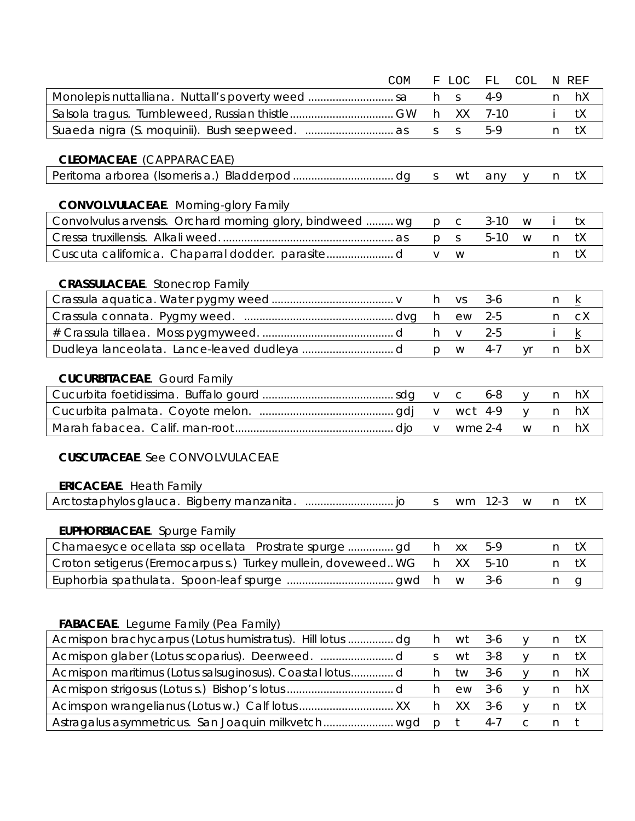|                                                               | <b>COM</b> | F            | <b>LOC</b>   | ${\rm FL}$ | <b>COL</b>  |   | N REF           |
|---------------------------------------------------------------|------------|--------------|--------------|------------|-------------|---|-----------------|
| Monolepis nuttalliana. Nuttall's poverty weed  sa             |            | h            | $\mathsf S$  | $4 - 9$    |             | n | hX              |
|                                                               |            | h            | XX           | $7 - 10$   |             |   | tX              |
|                                                               |            | $\mathsf{S}$ | S.           | $5-9$      |             | n | tX              |
|                                                               |            |              |              |            |             |   |                 |
| <b>CLEOMACEAE</b> (CAPPARACEAE)                               |            |              |              |            |             |   |                 |
|                                                               |            | $\mathsf{S}$ | wt           | any        | y           | n | tX              |
| <b>CONVOLVULACEAE.</b> Morning-glory Family                   |            |              |              |            |             |   |                 |
| Convolvulus arvensis. Orchard morning glory, bindweed  wg     |            | $\mathsf{p}$ | $\mathsf C$  | $3 - 10$   | W           |   | tx              |
|                                                               |            | p            | S            | $5 - 10$   | W           | n | tX              |
|                                                               |            | $\vee$       | W            |            |             | n | tX              |
| <b>CRASSULACEAE.</b> Stonecrop Family                         |            |              |              |            |             |   |                 |
|                                                               |            | h            | VS           | $3 - 6$    |             | n | $\underline{k}$ |
|                                                               |            | h            | ew           | $2 - 5$    |             | n | cX              |
|                                                               |            | h            | $\vee$       | $2 - 5$    |             |   | $\underline{k}$ |
|                                                               |            | $\mathsf{p}$ | W            | $4 - 7$    | yr          | n | bX              |
|                                                               |            |              |              |            |             |   |                 |
| <b>CUCURBITACEAE.</b> Gourd Family                            |            |              |              |            |             |   |                 |
|                                                               |            | $\vee$       | $\mathsf{C}$ | $6 - 8$    | y           | n | hX              |
|                                                               |            | $\vee$       | wct          | 4-9        | y           | n | hX              |
|                                                               |            | $\vee$       | $wme$ 2-4    |            | W           | n | hX              |
|                                                               |            |              |              |            |             |   |                 |
| <b>CUSCUTACEAE.</b> See CONVOLVULACEAE                        |            |              |              |            |             |   |                 |
| <b>ERICACEAE.</b> Heath Family                                |            |              |              |            |             |   |                 |
|                                                               |            | S            | wm           | $12-3$     | W           | n | tX              |
|                                                               |            |              |              |            |             |   |                 |
| <b>EUPHORBIACEAE.</b> Spurge Family                           |            |              |              |            |             |   |                 |
|                                                               |            | h            | XX           | $5-9$      |             | n | tX              |
| Croton setigerus (Eremocarpus s.) Turkey mullein, doveweed WG |            | h            | XX           | $5 - 10$   |             | n | tX              |
|                                                               |            | h            | W            | $3-6$      |             | n | $\mathbf{q}$    |
|                                                               |            |              |              |            |             |   |                 |
|                                                               |            |              |              |            |             |   |                 |
| <b>FABACEAE.</b> Legume Family (Pea Family)                   |            |              |              |            |             |   |                 |
| Acmispon brachycarpus (Lotus humistratus). Hill lotus  dg     |            | h            | wt           | $3-6$      | у           | n | tX              |
|                                                               |            | $\mathsf S$  | wt           | $3 - 8$    | У           | n | tX              |
| Acmispon maritimus (Lotus salsuginosus). Coastal lotusd       |            | h            | tw           | $3-6$      | y           | n | hX              |
|                                                               |            | h            | ew           | $3-6$      | y           | n | hX              |
|                                                               |            | h            | XX           | $3-6$      | У           | n | tX              |
| Astragalus asymmetricus. San Joaquin milkvetch wgd            |            | $\mathsf{p}$ | $t$          | $4 - 7$    | $\mathsf C$ | n | t               |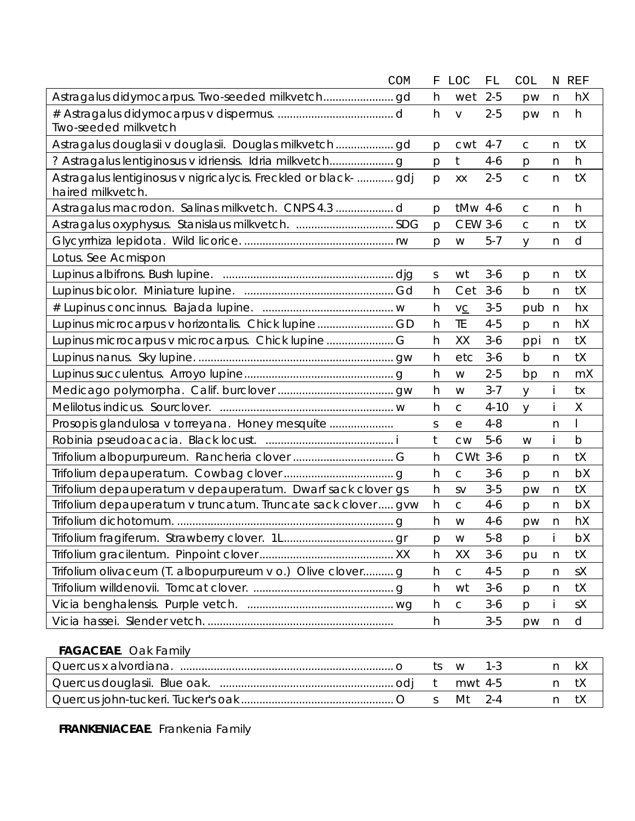|                                                                                      | <b>COM</b> | F | <b>LOC</b>     | FL       | COL          |              | N REF       |
|--------------------------------------------------------------------------------------|------------|---|----------------|----------|--------------|--------------|-------------|
|                                                                                      |            | h | wet            | $2 - 5$  | pw           | n            | hX          |
| Two-seeded milkvetch                                                                 |            | h | $\vee$         | $2 - 5$  | pw           | n            | h           |
|                                                                                      |            | p | cwt            | $4 - 7$  | $\mathsf{C}$ | n            | tX          |
|                                                                                      |            | p | t              | $4-6$    | p            | n            | h           |
| Astragalus lentiginosus v nigricalycis. Freckled or black-  gdj<br>haired milkvetch. |            | p | XX             | $2 - 5$  | $\mathsf{C}$ | n            | tX          |
|                                                                                      |            | p | tMw 4-6        |          | $\mathsf C$  | n            | h           |
| Astragalus oxyphysus. Stanislaus milkvetch. SDG                                      |            | p | <b>CEW 3-6</b> |          | $\mathsf{C}$ | n            | tX          |
|                                                                                      |            | p | W              | $5 - 7$  | y            | n            | d           |
| Lotus. See Acmispon                                                                  |            |   |                |          |              |              |             |
|                                                                                      |            | S | wt             | $3-6$    | p            | n            | tX          |
|                                                                                      |            | h | Cet            | $3-6$    | b            | n            | tX          |
|                                                                                      |            | h | VC             | $3-5$    | pub          | $\mathsf{n}$ | hx          |
| Lupinus microcarpus v horizontalis. Chick lupineGD                                   |            | h | TE             | $4 - 5$  | p            | n            | hX          |
|                                                                                      |            | h | XX             | $3-6$    | ppi          | n            | tX          |
|                                                                                      |            | h | etc            | $3-6$    | b            | n            | tX          |
|                                                                                      |            | h | W              | $2 - 5$  | bp           | n            | mX          |
|                                                                                      |            | h | W              | $3 - 7$  | У            |              | tx          |
|                                                                                      |            | h | $\mathsf C$    | $4 - 10$ | у            |              | Χ           |
| Prosopis glandulosa v torreyana. Honey mesquite                                      |            | S | е              | $4 - 8$  |              | n            |             |
|                                                                                      |            | t | <b>CW</b>      | $5-6$    | W            |              | $\mathsf b$ |
|                                                                                      |            | h | CWt 3-6        |          | p            | n            | tX          |
|                                                                                      |            | h | $\mathsf C$    | $3-6$    | p            | n            | bX          |
| Trifolium depauperatum v depauperatum. Dwarf sack clover gs                          |            | h | <b>SV</b>      | $3 - 5$  | pw           | n            | tX          |
| Trifolium depauperatum v truncatum. Truncate sack clover  gvw                        |            | h | $\mathsf{C}$   | $4 - 6$  | p            | n            | bX          |
|                                                                                      |            | h | W              | $4 - 6$  | pw           | n            | hX          |
|                                                                                      |            | р | W              | $5 - 8$  | p            |              | bX          |
|                                                                                      |            | h | XX             | $3-6$    | pu           | n            | tX          |
| Trifolium olivaceum (T. albopurpureum v o.) Olive clover g                           |            | h | $\mathsf C$    | $4 - 5$  | p            | n            | sΧ          |
|                                                                                      |            | h | wt             | $3-6$    | p            | n            | tX          |
|                                                                                      |            | h | $\mathsf{C}$   | $3-6$    | $\mathsf{p}$ | İ.           | sΧ          |
|                                                                                      |            | h |                | $3-5$    | pw           | n            | d           |
| <b>FAGACEAE.</b> Oak Family                                                          |            |   |                |          |              |              |             |
|                                                                                      |            |   | ts w           | $1 - 3$  |              | n.           | kX          |

|  | t mwt4-5 |  |  |
|--|----------|--|--|
|  | N/It     |  |  |

**FRANKENIACEAE**. Frankenia Family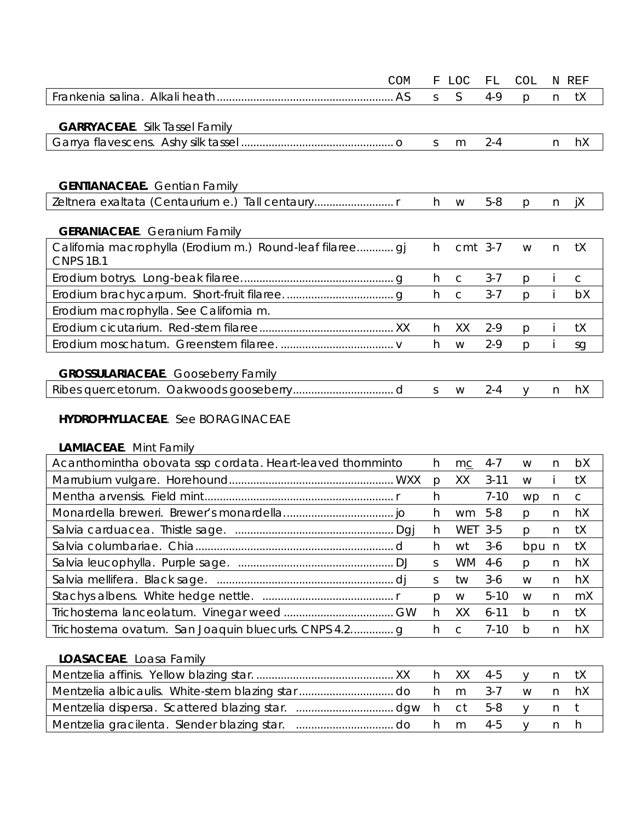| COM                                                                           | F  | LOC          | FL      | <b>COL</b>   |   | N REF |
|-------------------------------------------------------------------------------|----|--------------|---------|--------------|---|-------|
|                                                                               | S. | S            | $4-9$   | p            | n | tX    |
|                                                                               |    |              |         |              |   |       |
| <b>GARRYACEAE.</b> Silk Tassel Family                                         |    |              |         |              |   |       |
|                                                                               | S. | m            | $2 - 4$ |              | n | hX    |
|                                                                               |    |              |         |              |   |       |
| <b>GENTIANACEAE.</b> Gentian Family                                           |    |              |         |              |   |       |
| Zeltnera exaltata (Centaurium e.) Tall centaury                               | h. | W            | $5 - 8$ | $\mathsf{p}$ | n | iХ    |
|                                                                               |    |              |         |              |   |       |
| <b>GERANIACEAE.</b> Geranium Family                                           |    |              |         |              |   |       |
| California macrophylla (Erodium m.) Round-leaf filaree gj<br><b>CNPS 1B.1</b> | h. | cmt 3-7      |         | W            | n | tX    |
|                                                                               | h  | C            | $3 - 7$ | $\mathsf{p}$ |   | C     |
|                                                                               | h. | $\mathsf{C}$ | $3 - 7$ | $\mathsf{p}$ |   | bX    |
| Erodium macrophylla. See California m.                                        |    |              |         |              |   |       |
|                                                                               | h. | XX           | $2 - 9$ | p            |   | tΧ    |
|                                                                               | h. | W            | $2-9$   | <b>D</b>     |   | sg    |
|                                                                               |    |              |         |              |   |       |
| <b>GROSSULARIACEAE.</b> Gooseberry Family                                     |    |              |         |              |   |       |
|                                                                               | S. | W            | $2 - 4$ | $\vee$       | n | hX    |

### **HYDROPHYLLACEAE**. See BORAGINACEAE

#### **LAMIACEAE**. Mint Family

| Acanthomintha obovata ssp cordata. Heart-leaved thornminto | h.           | mc             | 4-7      | W            | n. | bX |
|------------------------------------------------------------|--------------|----------------|----------|--------------|----|----|
|                                                            | $\mathsf{D}$ | XX             | $3 - 11$ | W            |    | tX |
|                                                            | h            |                | $7 - 10$ | WD.          | n. | C  |
|                                                            | h.           | wm 5-8         |          | <sub>D</sub> | n. | hX |
|                                                            | h.           | WET 3-5        |          | $\mathsf{D}$ | n. | tX |
|                                                            | h.           | wt             | $3-6$    | bpu n        |    | tX |
|                                                            | S.           | WM 4-6         |          | <sub>D</sub> | n  | hX |
|                                                            | S.           | tw             | $3-6$    | W            | n. | hX |
|                                                            | <sub>D</sub> | W              | $5 - 10$ | W            | n. | mX |
|                                                            | h.           | XX             | $6 - 11$ | <sub>b</sub> | n  | tX |
| Trichostema ovatum. San Joaquin bluecurls. CNPS 4.2g       | h.           | $\overline{C}$ | 7-10     | $\mathsf{D}$ | n  | hX |

| <b>LOASACEAE.</b> Loasa Family |  |  |  |  |
|--------------------------------|--|--|--|--|
|                                |  |  |  |  |
|                                |  |  |  |  |
|                                |  |  |  |  |
|                                |  |  |  |  |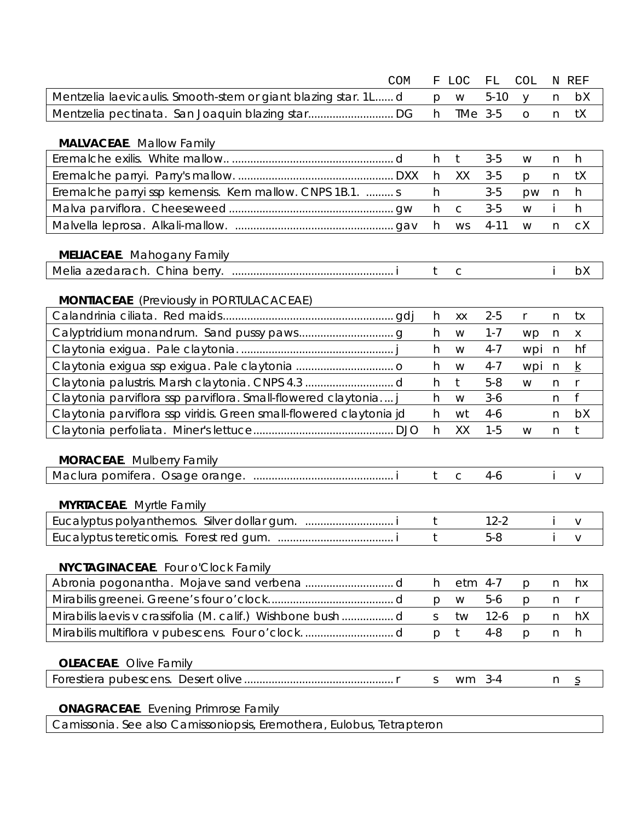|                                                                     | <b>COM</b> | F            | LOC          | FL       | <b>COL</b>   |    | N REF           |
|---------------------------------------------------------------------|------------|--------------|--------------|----------|--------------|----|-----------------|
| Mentzelia laevicaulis. Smooth-stem or giant blazing star. 1L d      |            | p            | W            | $5 - 10$ | y            | n  | bX              |
|                                                                     |            | h            | TMe 3-5      |          | $\circ$      | n  | tX              |
|                                                                     |            |              |              |          |              |    |                 |
| <b>MALVACEAE.</b> Mallow Family                                     |            |              |              |          |              |    |                 |
|                                                                     |            | h            | $\mathsf{t}$ | $3-5$    | W            | n  | h               |
|                                                                     |            | h            | XX           | $3-5$    | p            | n  | tX              |
| Eremalche parryissp kernensis. Kern mallow. CNPS 1B.1.  s           |            | h            |              | $3-5$    | pw           | n  | h               |
|                                                                     |            | h            | $\mathsf{C}$ | $3-5$    | W            | İ. | h               |
|                                                                     |            | h            | <b>WS</b>    | $4 - 11$ | W            | n  | cX              |
|                                                                     |            |              |              |          |              |    |                 |
| <b>MELIACEAE.</b> Mahogany Family                                   |            |              |              |          |              |    |                 |
|                                                                     |            | t            | $\mathsf{C}$ |          |              |    | bX              |
|                                                                     |            |              |              |          |              |    |                 |
| <b>MONTIACEAE</b> (Previously in PORTULACACEAE)                     |            |              |              |          |              |    |                 |
|                                                                     |            | h            | XX           | $2 - 5$  | $\mathsf{r}$ | n  | tx              |
|                                                                     |            | h            | W            | $1 - 7$  | wp           | n  | $\mathsf X$     |
|                                                                     |            | h            | W            | $4 - 7$  | wpi          | n  | hf              |
|                                                                     |            | h            | W            | $4 - 7$  | wpi          | n  | $\underline{k}$ |
|                                                                     |            | h            | $t$          | $5 - 8$  | W            | n  | $\mathsf{r}$    |
| Claytonia parviflora ssp parviflora. Small-flowered claytonia       |            | h            | W            | $3-6$    |              | n  | f               |
| Claytonia parviflora ssp viridis. Green small-flowered claytonia jd |            | h            | wt           | $4-6$    |              | n  | bX              |
|                                                                     |            | h            | XX           | $1 - 5$  | W            | n  | t               |
| <b>MORACEAE.</b> Mulberry Family                                    |            |              |              |          |              |    |                 |
|                                                                     |            | $\mathsf{t}$ | $\mathsf C$  | $4 - 6$  |              |    | $\vee$          |
|                                                                     |            |              |              |          |              |    |                 |
| <b>MYRTACEAE.</b> Myrtle Family                                     |            |              |              |          |              |    |                 |
| Eucalyptus polyanthemos. Silver dollar gum.  i                      |            | t            |              | $12 - 2$ |              |    | V               |
|                                                                     |            | t            |              | $5 - 8$  |              |    | V               |
|                                                                     |            |              |              |          |              |    |                 |
| NYCTAGINACEAE. Four o'Clock Family                                  |            |              |              |          |              |    |                 |
|                                                                     |            | h            | etm 4-7      |          | $\mathsf{p}$ | n  | hx              |
|                                                                     |            | p            | W            | $5-6$    | p            | n  | r               |
| Mirabilis laevis v crassifolia (M. calif.) Wishbone bush d          |            | S            | tw           | $12-6$   | p            | n  | hX              |
|                                                                     |            | p            | t            | $4 - 8$  | p            | n  | h               |
|                                                                     |            |              |              |          |              |    |                 |
| <b>OLEACEAE.</b> Olive Family                                       |            |              |              |          |              |    |                 |
|                                                                     |            | S            | wm           | $3 - 4$  |              | n  | $\overline{S}$  |
|                                                                     |            |              |              |          |              |    |                 |
| <b>ONAGRACEAE</b> . Evening Primrose Family                         |            |              |              |          |              |    |                 |

*Camissonia.* See *also Camissoniopsis, Eremothera, Eulobus, Tetrapteron*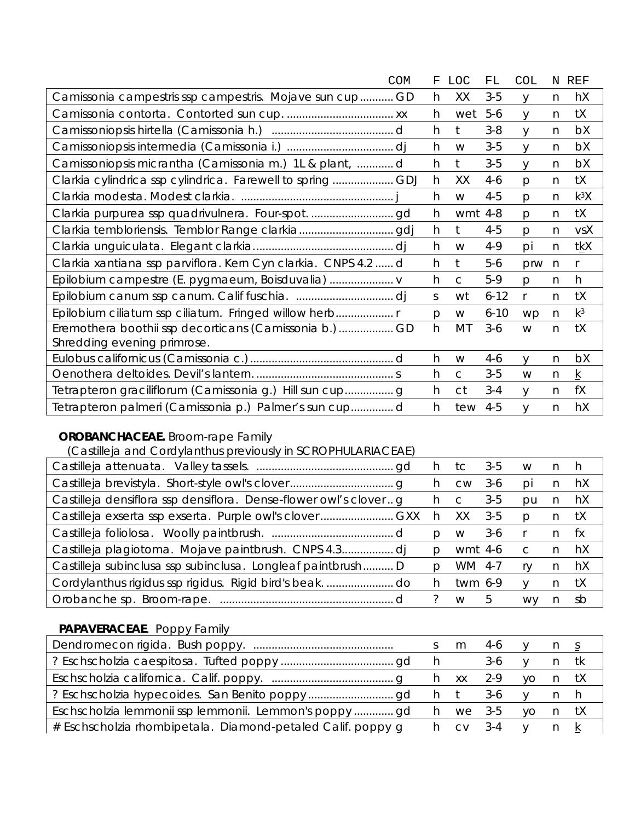| COM                                                            | F  | LOC          | FL       | <b>COL</b>   |              | N REF           |
|----------------------------------------------------------------|----|--------------|----------|--------------|--------------|-----------------|
| Camissonia campestris ssp campestris. Mojave sun cup GD        | h. | XX           | $3-5$    | V            | n            | hX              |
|                                                                | h. | wet          | $5-6$    | y            | n            | tX              |
|                                                                | h  | t            | $3 - 8$  | V            | n            | bX              |
|                                                                | h  | W            | $3-5$    | y            | n            | bX              |
| Camissoniopsis micrantha (Camissonia m.) 1L & plant,  d        | h  | $t$          | $3-5$    | y            | n            | bX              |
| Clarkia cylindrica ssp cylindrica. Farewell to spring  GDJ     | h  | XX           | $4 - 6$  | p            | n            | tX              |
|                                                                | h  | W            | $4 - 5$  | p            | n            | $k^3X$          |
|                                                                | h  | wmt          | 4-8      | p            | n            | tX              |
|                                                                | h  | t            | $4 - 5$  | $\mathsf{p}$ | n            | vsX             |
|                                                                | h  | W            | 4-9      | pi           | n            | <u>tk</u> X     |
| Clarkia xantiana ssp parviflora. Kern Cyn clarkia. CNPS 4.2  d | h  | $t$          | $5-6$    | prw          | n            | $\mathsf{r}$    |
| Epilobium campestre (E. pygmaeum, Boisduvalia)                 | h  | $\mathsf{C}$ | $5-9$    | $\mathsf{p}$ | n            | h               |
|                                                                | S. | wt           | $6 - 12$ | r            | n            | tX              |
| Epilobium ciliatum ssp ciliatum. Fringed willow herb           | p  | W            | $6 - 10$ | wp           | $\mathsf{n}$ | $k^3$           |
| Eremothera boothii ssp decorticans (Camissonia b.)GD           | h  | MT           | $3-6$    | W            | n            | tX              |
| Shredding evening primrose.                                    |    |              |          |              |              |                 |
|                                                                | h  | W            | $4 - 6$  | $\vee$       | n            | bX              |
|                                                                | h  | C            | $3-5$    | W            | n            | $\underline{k}$ |
| Tetrapteron graciliflorum (Camissonia g.) Hill sun cup g       | h  | ct           | $3 - 4$  | y            | n            | fX              |
| Tetrapteron palmeri (Camissonia p.) Palmer's sun cupd          | h  | tew          | $4 - 5$  | V            | n            | hX              |

## **OROBANCHACEAE.** Broom-rape Family

(*Castilleja* and *Cordylanthus* previously in SCROPHULARIACEAE)

|                                                                    | n.  | tc        | 3-5   | W            | n. | - n |
|--------------------------------------------------------------------|-----|-----------|-------|--------------|----|-----|
|                                                                    | n.  | <b>CW</b> | 3-6   | DI           | n. | hX  |
| Castilleja densiflora ssp densiflora. Dense-flower owl's clover  q | h c |           | $3-5$ | pu           | n  | hX  |
|                                                                    | h.  | XX.       | $3-5$ | D            |    | tΧ  |
|                                                                    | D   | W         | $3-6$ |              | n. | †x  |
|                                                                    | Ŋ   | wmt 4-6   |       | $\mathsf{C}$ | n  | hX  |
| Castilleja subinclusa ssp subinclusa. Longleaf paintbrush D        | Ŋ   | WM 4-7    |       | rv           | n  | hX  |
| Cordylanthus rigidus ssp rigidus. Rigid bird's beak. do            | h.  | twm 6-9   |       | V            |    | tX  |
|                                                                    |     | W         | 5     | <b>WV</b>    |    | sh  |

### **PAPAVERACEAE**. Poppy Family

|                                                             | m 4-6  |          |        |      |  |
|-------------------------------------------------------------|--------|----------|--------|------|--|
|                                                             |        | 3-6      |        | n tk |  |
|                                                             |        |          | yo ntX |      |  |
|                                                             |        |          |        |      |  |
|                                                             |        | h we 3-5 | yo ntX |      |  |
| # Eschscholzia rhombipetala. Diamond-petaled Calif. poppy g | CV 3-4 |          |        |      |  |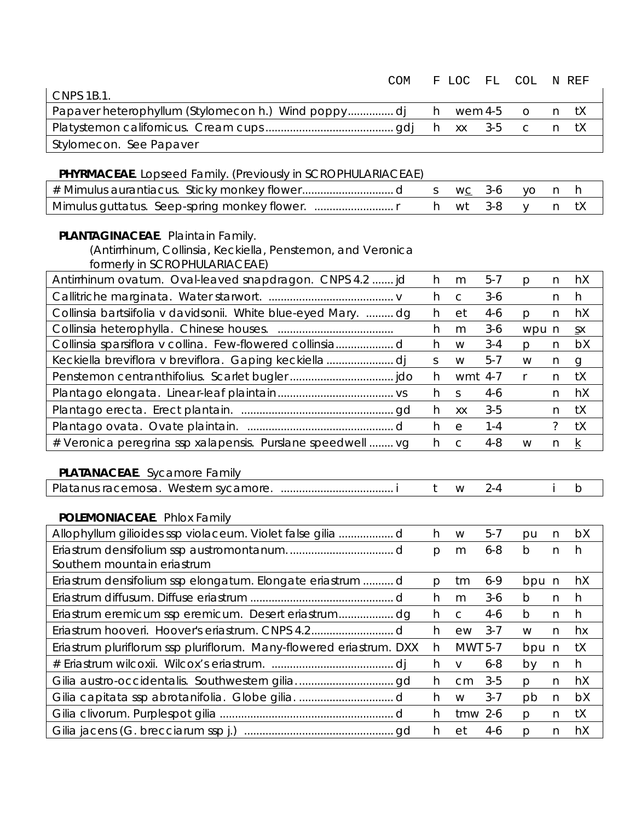| <b>CNPS 1B.1.</b>                                                                                                                 | COM                      |              | F LOC        | FL      | <b>COL</b>   |              | N REF           |
|-----------------------------------------------------------------------------------------------------------------------------------|--------------------------|--------------|--------------|---------|--------------|--------------|-----------------|
| Papaver heterophyllum (Stylomecon h.) Wind poppydj                                                                                |                          | h            | wem 4-5      |         | $\circ$      | n            | tX              |
|                                                                                                                                   |                          | h            | XX           | $3 - 5$ | C            | n            | tX              |
| Stylomecon. See Papaver                                                                                                           |                          |              |              |         |              |              |                 |
|                                                                                                                                   |                          |              |              |         |              |              |                 |
| PHYRMACEAE. Lopseed Family. (Previously in SCROPHULARIACEAE)                                                                      |                          |              |              |         |              |              |                 |
|                                                                                                                                   |                          | S            | WC           | $3-6$   | yo           | n            | h               |
|                                                                                                                                   |                          | h            | wt           | $3 - 8$ | y            | n            | tX              |
| PLANTAGINACEAE. Plaintain Family.<br>(Antirrhinum, Collinsia, Keckiella, Penstemon, and Veronica<br>formerly in SCROPHULARIACEAE) |                          |              |              |         |              |              |                 |
| Antirrhinum ovatum. Oval-leaved snapdragon. CNPS 4.2  jd                                                                          |                          | h            | m            | $5 - 7$ | p            | n            | hX              |
|                                                                                                                                   |                          | h            | $\mathsf{C}$ | $3-6$   |              | n            | h               |
| Collinsia bartsiifolia v davidsonii. White blue-eyed Mary.  dg                                                                    |                          | h            | et           | $4-6$   | p            | $\mathsf{n}$ | hX              |
|                                                                                                                                   |                          | h            | m            | $3-6$   | wpu n        |              | S X             |
| Collinsia sparsiflora v collina. Few-flowered collinsiad                                                                          |                          | h            | W            | $3 - 4$ | p            | n            | bX              |
|                                                                                                                                   |                          | $\mathsf S$  | W            | $5 - 7$ | W            | n            | $\mathsf{g}$    |
|                                                                                                                                   |                          | h            | wmt 4-7      |         | r            | n            | tX              |
|                                                                                                                                   |                          | h            | <sub>S</sub> | $4-6$   |              | n            | hX              |
|                                                                                                                                   |                          | h            | XX           | $3 - 5$ |              | n            | tX              |
|                                                                                                                                   |                          | h            | $\rm e$      | $1 - 4$ |              | $\tilde{?}$  | tX              |
| # Veronica peregrina ssp xalapensis. Purslane speedwell  vg                                                                       |                          | h            | $\mathsf{C}$ | $4 - 8$ | W            | n            | $\underline{k}$ |
| PLATANACEAE. Sycamore Family                                                                                                      |                          |              |              |         |              |              |                 |
|                                                                                                                                   |                          | $t$          | W            | $2 - 4$ |              |              | $\mathsf b$     |
| POLEMONIACEAE. Phlox Family                                                                                                       |                          |              |              |         |              |              |                 |
| Allophyllum gilioides ssp violaceum. Violet false gilia  d                                                                        | <b>Contract Contract</b> | $\,h$        | W            | $5-7$   | pu           | n            | bX              |
| Southern mountain eriastrum                                                                                                       |                          | $\mathsf{p}$ | m            | $6 - 8$ | $\mathsf{b}$ | $\mathsf{n}$ | h               |
| Eriastrum densifolium ssp elongatum. Elongate eriastrum  d                                                                        |                          | $\mathsf{p}$ | tm           | $6 - 9$ | bpu n        |              | hX              |
|                                                                                                                                   |                          | h            | m            | $3-6$   | b            | n            | h               |
| Eriastrum eremicum ssp eremicum. Desert eriastrumdg                                                                               |                          | h            | $\mathsf C$  | $4-6$   | b            | n            | h               |
|                                                                                                                                   |                          | h            | ew           | $3 - 7$ | W            | n            | hx              |
| Eriastrum pluriflorum ssp pluriflorum. Many-flowered eriastrum. DXX                                                               |                          | h            | MWT 5-7      |         | bpu          | n            | tX              |
|                                                                                                                                   |                          | h            | $\vee$       | $6 - 8$ | by           | n            | h               |
|                                                                                                                                   |                          | h            | cm           | $3-5$   | p            | n            | hX              |
|                                                                                                                                   |                          | h            | W            | $3 - 7$ | pb           | n            | bX              |
|                                                                                                                                   |                          | h            | $t$ mw 2-6   |         | p            | n            | tX              |
|                                                                                                                                   |                          | h            | et           | 4-6     | p            | n            | hX              |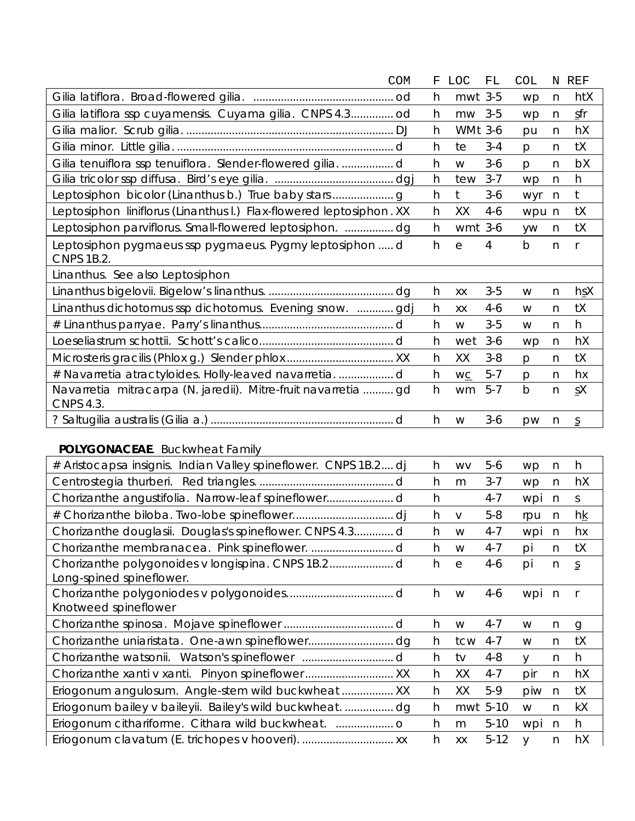|                                                                                    | <b>COM</b> | F | <b>LOC</b>     | FL       | <b>COL</b>   | N              | REF                                  |
|------------------------------------------------------------------------------------|------------|---|----------------|----------|--------------|----------------|--------------------------------------|
|                                                                                    |            | h | mwt 3-5        |          | wp           | n              | htX                                  |
| Gilia latiflora ssp cuyamensis. Cuyama gilia. CNPS 4.3 od                          |            | h | mw             | $3 - 5$  | wp           | n              | sfr                                  |
|                                                                                    |            | h | <b>WMt 3-6</b> |          | pu           | n              | hX                                   |
|                                                                                    |            | h | te             | $3 - 4$  | p            | n              | tX                                   |
| Gilia tenuiflora ssp tenuiflora. Slender-flowered gilia. d                         |            | h | W              | $3-6$    | p            | n              | bX                                   |
|                                                                                    |            | h | tew            | $3 - 7$  | wp           | $\mathsf{n}$   | h                                    |
|                                                                                    |            | h | $\mathfrak t$  | $3-6$    | wyr          | n              | $\mathsf{t}$                         |
| Leptosiphon liniflorus (Linanthus I.) Flax-flowered leptosiphon. XX                |            | h | XX             | $4-6$    | wpu n        |                | tX                                   |
| Leptosiphon parviflorus. Small-flowered leptosiphon.  dg                           |            | h | wmt 3-6        |          | yw           | n              | tX                                   |
| Leptosiphon pygmaeus ssp pygmaeus. Pygmy leptosiphon  d<br><b>CNPS 1B.2.</b>       |            | h | $\mathsf{e}$   | 4        | $\mathsf b$  | n              | $\mathsf{r}$                         |
| Linanthus. See also Leptosiphon                                                    |            |   |                |          |              |                |                                      |
|                                                                                    |            | h | XX             | $3 - 5$  | W            | n              | hsX                                  |
| Linanthus dichotomus ssp dichotomus. Evening snow.  gdj                            |            | h | XХ             | 4-6      | W            | n              | tX                                   |
|                                                                                    |            | h | W              | $3 - 5$  | W            | n              | h                                    |
|                                                                                    |            | h | wet            | $3-6$    | wp           | n              | hX                                   |
|                                                                                    |            | h | XX             | $3 - 8$  | p            | n              | tX                                   |
| # Navarretia atractyloides. Holly-leaved navarretia. d                             |            | h | WC             | $5 - 7$  | p            | n              | hx                                   |
| Navarretia mitracarpa (N. jaredii). Mitre-fruit navarretia  gd<br><b>CNPS 4.3.</b> |            | h | wm             | $5 - 7$  | $\mathsf b$  | $\overline{n}$ | $S_X$                                |
|                                                                                    |            | h | W              | $3-6$    | pw           | n              | $\underline{\underline{\mathsf{S}}}$ |
| <b>POLYGONACEAE.</b> Buckwheat Family                                              |            |   |                |          |              |                |                                      |
| # Aristocapsa insignis. Indian Valley spineflower. CNPS 1B.2 dj                    |            | h | <b>WV</b>      | $5-6$    | wp           | n              | h                                    |
|                                                                                    |            | h | m              | $3 - 7$  | wp           | n              | hX                                   |
|                                                                                    |            | h |                | $4 - 7$  | wpi          | n              | $\mathsf S$                          |
|                                                                                    |            | h | $\vee$         | $5 - 8$  | rpu          | n              | hk                                   |
| Chorizanthe douglasii. Douglas's spineflower. CNPS 4.3d                            |            | h | W              | $4 - 7$  | wpi          | $\mathsf{n}$   | hx                                   |
|                                                                                    |            | h | W              | $4 - 7$  | pi           | n              | tX                                   |
| Long-spined spineflower.                                                           |            | h | $\rm e$        | $4 - 6$  | pi           | n              | $\overline{S}$                       |
| Knotweed spineflower                                                               |            | h | W              | $4 - 6$  | wpi n        |                | r                                    |
|                                                                                    |            | h | W              | $4 - 7$  | W            | n              | g                                    |
|                                                                                    |            | h | tcw            | $4 - 7$  | W            | n              | tX                                   |
|                                                                                    |            | h | tv             | $4 - 8$  | y            | n              | h                                    |
|                                                                                    |            | h | XX             | $4 - 7$  | pir          | n              | hX                                   |
| Eriogonum angulosum. Angle-stem wild buckwheat  XX                                 |            | h | XX             | $5-9$    | piw          | n              | tX                                   |
| Eriogonum bailey v baileyii. Bailey's wild buckwheatdg                             |            | h | mwt 5-10       |          | W            | n              | kX                                   |
|                                                                                    |            | h | m              | $5 - 10$ | wpi          | n              | h                                    |
|                                                                                    |            | h | XX             | $5 - 12$ | $\mathsf{V}$ | n              | hX                                   |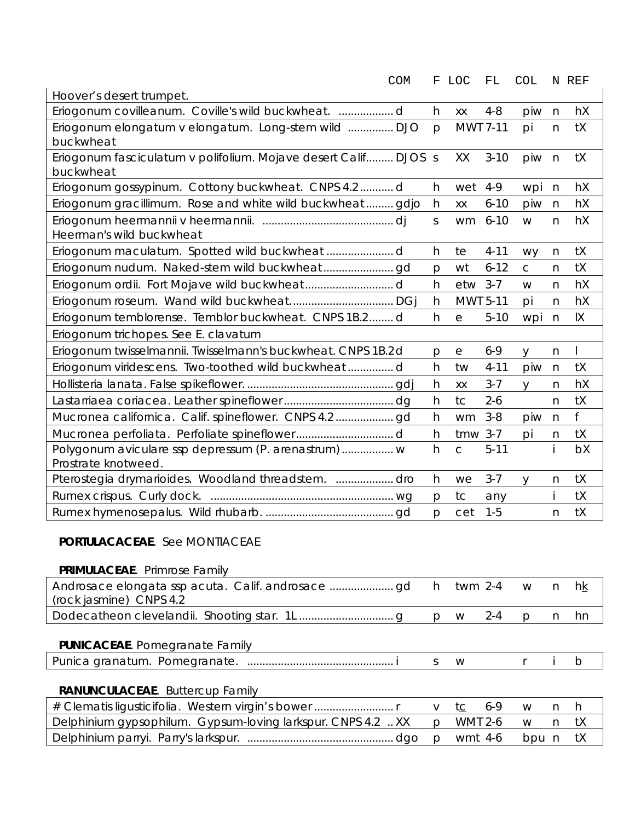| <b>COM</b>                                                                   | F            | LOC          | FL       | <b>COL</b>   |              | N REF        |
|------------------------------------------------------------------------------|--------------|--------------|----------|--------------|--------------|--------------|
| Hoover's desert trumpet.                                                     |              |              |          |              |              |              |
|                                                                              | h            | XX           | $4 - 8$  | piw          | $\mathsf{n}$ | hX           |
| Eriogonum elongatum v elongatum. Long-stem wild  DJO<br>buckwheat            | $\mathsf{p}$ | MWT 7-11     |          | pi           | $\mathsf{n}$ | tX           |
| Eriogonum fasciculatum v polifolium. Mojave desert Calif DJOS s<br>buckwheat |              | XX           | $3 - 10$ | piw          | $\mathsf{n}$ | tX           |
| Eriogonum gossypinum. Cottony buckwheat. CNPS 4.2d                           | h            | wet          | $4 - 9$  | wpi          | $\mathsf{n}$ | hX           |
| Eriogonum gracillimum. Rose and white wild buckwheat gdjo                    | h            | XX           | $6 - 10$ | piw          | n            | hX           |
| Heerman's wild buckwheat                                                     | S            | wm           | $6 - 10$ | W            | n            | hX           |
|                                                                              | h            | te           | $4 - 11$ | <b>WY</b>    | n            | tX           |
|                                                                              | $\mathsf{p}$ | wt           | $6 - 12$ | $\mathsf C$  | n            | tX           |
|                                                                              | h            | etw          | $3 - 7$  | W            | $\mathsf{n}$ | hX           |
|                                                                              | h            | MWT 5-11     |          | pi           | $\mathsf{n}$ | hX           |
| Eriogonum temblorense. Temblor buckwheat. CNPS 1B.2d                         | h            | e            | $5 - 10$ | wpi          | $\mathsf{n}$ | IX           |
| Eriogonum trichopes. See E. clavatum                                         |              |              |          |              |              |              |
| Eriogonum twisselmannii. Twisselmann's buckwheat. CNPS 1B.2d                 | p            | $\rm e$      | $6 - 9$  | $\mathsf{V}$ | n            | $\mathsf{I}$ |
| Eriogonum viridescens. Two-toothed wild buckwheat  d                         | h            | tw           | $4 - 11$ | piw          | $\mathsf{n}$ | tX           |
|                                                                              | h            | XX           | $3 - 7$  | y            | n            | hX           |
|                                                                              | h            | tc           | $2 - 6$  |              | $\mathsf{n}$ | tX           |
|                                                                              | h            | wm           | $3 - 8$  | piw          | n            | f            |
|                                                                              | h            | $t$ mw 3-7   |          | pi           | n            | tX           |
| Polygonum aviculare ssp depressum (P. arenastrum) w<br>Prostrate knotweed.   | h            | $\mathsf{C}$ | $5 - 11$ |              |              | bX           |
| Pterostegia drymarioides. Woodland threadstem.  dro                          | h            | we           | $3 - 7$  | y            | $\mathsf{n}$ | tX           |
|                                                                              | $\mathsf{p}$ | tc           | any      |              | i            | tX           |
|                                                                              | p            | cet          | $1 - 5$  |              | n            | tX           |
| <b>PORTULACACEAE.</b> See MONTIACEAE                                         |              |              |          |              |              |              |

#### **PRIMULACEAE**. Primrose Family

| (rock jasmine) CNPS 4.2 |  |  |  |
|-------------------------|--|--|--|
|                         |  |  |  |

### **PUNICACEAE**. Pomegranate Family

| Punic.<br>Por.<br>aranatun<br>neo<br>$\Lambda$<br>$\sim$ 11 $\sim$ 1<br>"AHAIG | aronotum |  |  |  |  |  |  |  |
|--------------------------------------------------------------------------------|----------|--|--|--|--|--|--|--|
|--------------------------------------------------------------------------------|----------|--|--|--|--|--|--|--|

## **RANUNCULACEAE**. Buttercup Family

| Delphinium gypsophilum. Gypsum-loving larkspur. CNPS 4.2  XX p WMT 2-6 w n tX |  |  |  |
|-------------------------------------------------------------------------------|--|--|--|
|                                                                               |  |  |  |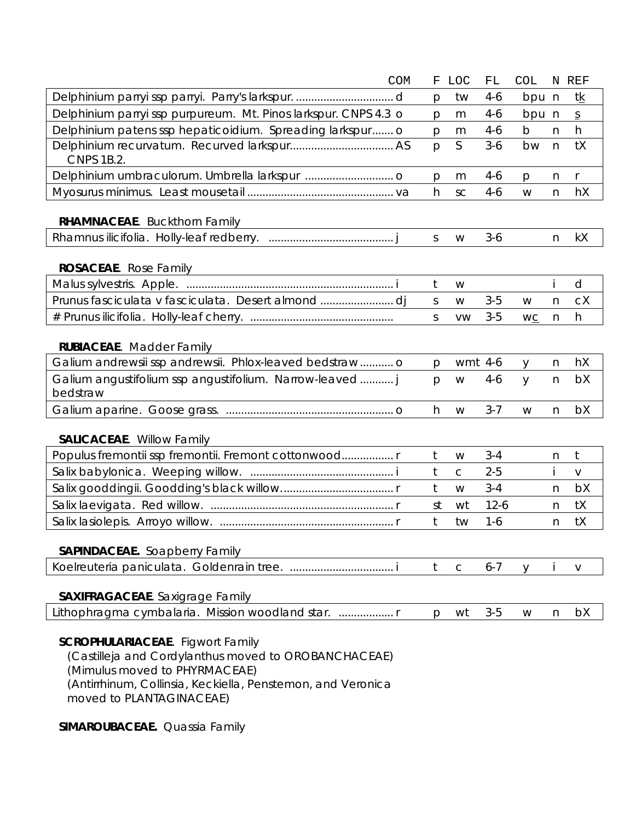|                                                                   | <b>COM</b> | F            | <b>LOC</b>  | ${\rm FL}$ | <b>COL</b>   |    | N REF          |
|-------------------------------------------------------------------|------------|--------------|-------------|------------|--------------|----|----------------|
|                                                                   |            | p            | tw          | $4-6$      | bpu n        |    | tk             |
| Delphinium parryi ssp purpureum. Mt. Pinos larkspur. CNPS 4.3 o   |            | p            | m           | $4-6$      | bpu n        |    | $\overline{S}$ |
| Delphinium patens ssp hepaticoidium. Spreading larkspur o         |            | p            | m           | $4-6$      | $\mathsf b$  | n  | h              |
| <b>CNPS 1B.2.</b>                                                 |            | p            | S           | $3-6$      | bw           | n  | tX             |
|                                                                   |            | p            | m           | $4-6$      | $\mathsf{p}$ | n  | r              |
|                                                                   |            | h            | SC          | $4-6$      | W            | n  | hX             |
| <b>RHAMNACEAE.</b> Buckthorn Family                               |            |              |             |            |              |    |                |
|                                                                   |            | $\mathsf S$  | W           | $3 - 6$    |              | n  | kX             |
| <b>ROSACEAE.</b> Rose Family<br><u> Alexandria (m. 1888)</u>      |            |              |             |            |              |    |                |
|                                                                   |            | t            | W           |            |              |    | d              |
|                                                                   |            | S            | W           | $3-5$      | W            | n. | cX             |
|                                                                   |            | $\mathsf{S}$ | <b>VW</b>   | $3-5$      | WC           | n  | h              |
| <b>RUBIACEAE.</b> Madder Family                                   |            |              |             |            |              |    |                |
| Galium andrewsii ssp andrewsii. Phlox-leaved bedstraw o           |            | $\mathsf{p}$ | wmt 4-6     |            | y            | n  | hX             |
| Galium angustifolium ssp angustifolium. Narrow-leaved<br>bedstraw |            | p            | W           | $4-6$      | y            | n  | bX             |
|                                                                   |            | h            | W           | $3 - 7$    | W            | n  | bX             |
| <b>SALICACEAE.</b> Willow Family                                  |            |              |             |            |              |    |                |
| Populus fremontii ssp fremontii. Fremont cottonwood r             |            | t            | W           | $3 - 4$    |              | n  | t              |
|                                                                   |            | t            | $\mathsf C$ | $2 - 5$    |              |    | V              |
|                                                                   |            | t            | W           | $3 - 4$    |              | n  | bX             |
|                                                                   |            | st           | wt          | $12-6$     |              | n  | tX             |
|                                                                   |            | t            | tw          | $1 - 6$    |              | n  | tX             |
| <b>SAPINDACEAE.</b> Soapberry Family                              |            |              |             |            |              |    |                |
|                                                                   |            | t            | $\mathsf C$ | $6 - 7$    | y            |    | V              |
| <b>SAXIFRAGACEAE.</b> Saxigrage Family                            |            |              |             |            |              |    |                |
| Lithophragma cymbalaria. Mission woodland star.                   |            | $\mathsf{D}$ | wt          | $3 - 5$    | W            | n  | bX             |
| <b>SCROPHULARIACEAE.</b> Figwort Family<br>$A = A$                |            |              |             |            |              |    |                |

  *(Mimulus* moved to PHYRMACEAE) *(Antirrhinum, Collinsia, Keckiella, Penstemon*, and *Veronica (Castilleja* and *Cordylanthus* moved to OROBANCHACEAE) moved to PLANTAGINACEAE)

**SIMAROUBACEAE.** Quassia Family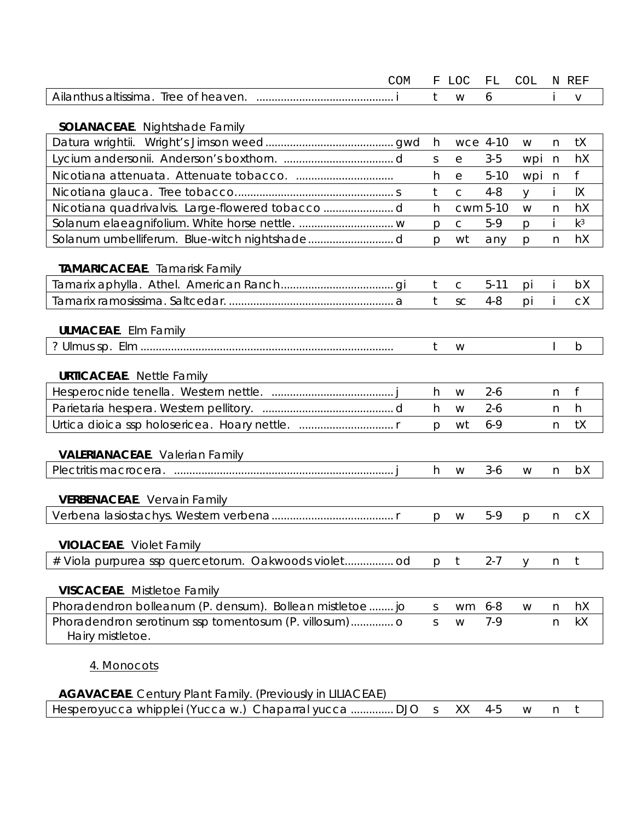|                                                                   | <b>COM</b> | F            | LOC          | FL       | <b>COL</b> |              | N REF       |
|-------------------------------------------------------------------|------------|--------------|--------------|----------|------------|--------------|-------------|
|                                                                   |            | $\mathsf{t}$ | W            | 6        |            |              | $\vee$      |
|                                                                   |            |              |              |          |            |              |             |
| <b>SOLANACEAE.</b> Nightshade Family                              |            |              |              |          |            |              |             |
|                                                                   |            | h            | wce 4-10     |          | W          | n            | tX          |
|                                                                   |            | <sub>S</sub> | $\rm e$      | $3-5$    | wpi        | n            | hX          |
|                                                                   |            | h            | e            | $5 - 10$ | wpi        | n            | f           |
|                                                                   |            | t            | $\mathsf{C}$ | $4 - 8$  | y          | İ            | IX          |
|                                                                   |            | h            | cwm 5-10     |          | W          | $\mathsf{n}$ | hX          |
|                                                                   |            | p            | $\mathsf C$  | $5-9$    | p          |              | $k^3$       |
|                                                                   |            | p            | wt           | any      | p          | n            | hX          |
|                                                                   |            |              |              |          |            |              |             |
| TAMARICACEAE. Tamarisk Family                                     |            | t            | $\mathsf C$  | $5 - 11$ |            |              | bX          |
|                                                                   |            | t            |              |          | pi         |              |             |
|                                                                   |            |              | SC           | $4 - 8$  | pi         |              | сX          |
| <b>ULMACEAE.</b> Elm Family                                       |            |              |              |          |            |              |             |
|                                                                   |            | t            | W            |          |            |              | $\mathsf b$ |
|                                                                   |            |              |              |          |            |              |             |
| <b>URTICACEAE.</b> Nettle Family                                  |            |              |              |          |            |              |             |
|                                                                   |            | h            | W            | $2 - 6$  |            | n            | f           |
|                                                                   |            | h.           | W            | $2 - 6$  |            | n            | h           |
|                                                                   |            | p            | wt           | $6 - 9$  |            | n            | tX          |
|                                                                   |            |              |              |          |            |              |             |
| <b>VALERIANACEAE.</b> Valerian Family                             |            |              |              |          |            |              |             |
|                                                                   |            | h            | W            | $3 - 6$  | W          | $\mathsf{n}$ | bX          |
|                                                                   |            |              |              |          |            |              |             |
| <b>VERBENACEAE.</b> Vervain Family                                |            |              |              |          |            |              |             |
|                                                                   |            | p            | W            | $5-9$    | p          | n            | сX          |
|                                                                   |            |              |              |          |            |              |             |
| <b>VIOLACEAE.</b> Violet Family                                   |            |              |              |          |            |              |             |
|                                                                   |            | p            | $\mathsf{t}$ | $2 - 7$  | V          | n            | t           |
| <b>VISCACEAE.</b> Mistletoe Family                                |            |              |              |          |            |              |             |
| Phoradendron bolleanum (P. densum). Bollean mistletoe  jo         |            | $\mathsf{S}$ | wm           | $6 - 8$  | W          | n            | hX          |
|                                                                   |            | <sub>S</sub> | W            | $7 - 9$  |            | n            | kX          |
| Hairy mistletoe.                                                  |            |              |              |          |            |              |             |
|                                                                   |            |              |              |          |            |              |             |
| 4. Monocots                                                       |            |              |              |          |            |              |             |
|                                                                   |            |              |              |          |            |              |             |
| <b>AGAVACEAE.</b> Century Plant Family. (Previously in LILIACEAE) |            |              |              |          |            |              |             |
| Hesperoyucca whipplei (Yucca w.) Chaparral yucca  DJO             |            | $\mathsf{S}$ | XX           | $4 - 5$  | W          | n            | t           |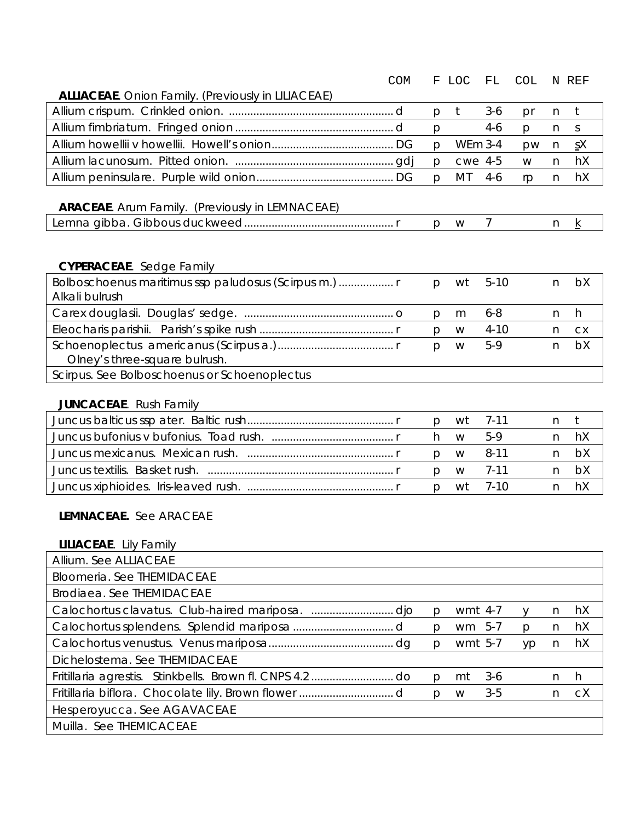|                                                           | <b>COM</b> | F            | LOC            | FL             | <b>COL</b> |              | N REF           |
|-----------------------------------------------------------|------------|--------------|----------------|----------------|------------|--------------|-----------------|
| <b>ALLIACEAE.</b> Onion Family. (Previously in LILIACEAE) |            |              |                |                |            |              |                 |
|                                                           |            | p            | t              | $3-6$          | pr         | n            | $t$             |
|                                                           |            | p            |                | $4-6$          | p          | n.           | S               |
|                                                           |            | p            | <b>WEm 3-4</b> |                | pw         | n            | $S_X$           |
|                                                           |            | p            | cwe 4-5        |                | W          | $\mathsf{n}$ | hX              |
|                                                           |            | p            | MT             | $4 - 6$        | rp         | n            | hX              |
| <b>ARACEAE</b> . Arum Family. (Previously in LEMNACEAE)   |            |              |                |                |            |              |                 |
|                                                           |            | $\mathsf{p}$ | W              | $\overline{7}$ |            | n            | $\underline{k}$ |
|                                                           |            |              |                |                |            |              |                 |
|                                                           |            |              |                |                |            |              |                 |
| <b>CYPERACEAE</b> . Sedge Family                          |            |              |                |                |            |              |                 |
| Bolboschoenus maritimus ssp paludosus (Scirpus m.)        |            | $\mathsf{p}$ | wt             | $5-10$         |            | n            | bX              |
| Alkali bulrush                                            |            |              |                |                |            |              |                 |
|                                                           |            | p            | m              | $6 - 8$        |            | n.           | h               |
|                                                           |            | p            | W              | $4 - 10$       |            | n            | <b>CX</b>       |
|                                                           |            | p            | W              | $5-9$          |            | n            | bX              |
| Olney's three-square bulrush.                             |            |              |                |                |            |              |                 |
| Scirpus. See Bolboschoenus or Schoenoplectus              |            |              |                |                |            |              |                 |
| <b>JUNCACEAE.</b> Rush Family                             |            |              |                |                |            |              |                 |
|                                                           |            | p            | wt             | $7 - 11$       |            | n            | t               |
|                                                           |            | h            | W              | $5-9$          |            | n            | hX              |
|                                                           |            | p            | W              | $8 - 11$       |            | n            | bX              |
|                                                           |            | p            | W              | $7 - 11$       |            | n            | bX              |
|                                                           |            | p            | wt             | $7 - 10$       |            | n            | hX              |
|                                                           |            |              |                |                |            |              |                 |
| LEMNACEAE. See ARACEAE                                    |            |              |                |                |            |              |                 |
|                                                           |            |              |                |                |            |              |                 |
| <b>LILIACEAE.</b> Lily Family                             |            |              |                |                |            |              |                 |

| Allium. See ALLIACEAE                                   |              |         |         |              |    |    |
|---------------------------------------------------------|--------------|---------|---------|--------------|----|----|
| <b>Bloomeria. See THEMIDACEAE</b>                       |              |         |         |              |    |    |
| <b>Brodiaea. See THEMIDACEAE</b>                        |              |         |         |              |    |    |
|                                                         | р            | wmt 4-7 |         |              | n. | hX |
|                                                         | D.           | wm 5-7  |         | <sub>D</sub> | n  | hX |
|                                                         | p            | wmt 5-7 |         | <b>VD</b>    | n. | hX |
| Dichelostema. See THEMIDACEAE                           |              |         |         |              |    |    |
| Fritillaria agrestis. Stinkbells. Brown fl. CNPS 4.2 do | p            | mt      | $3-6$   |              | n. | h  |
|                                                         | $\mathsf{D}$ | W       | $3 - 5$ |              | n. | сX |
| Hesperoyucca. See AGAVACEAE                             |              |         |         |              |    |    |
| Muilla. See THEMICACEAE                                 |              |         |         |              |    |    |
|                                                         |              |         |         |              |    |    |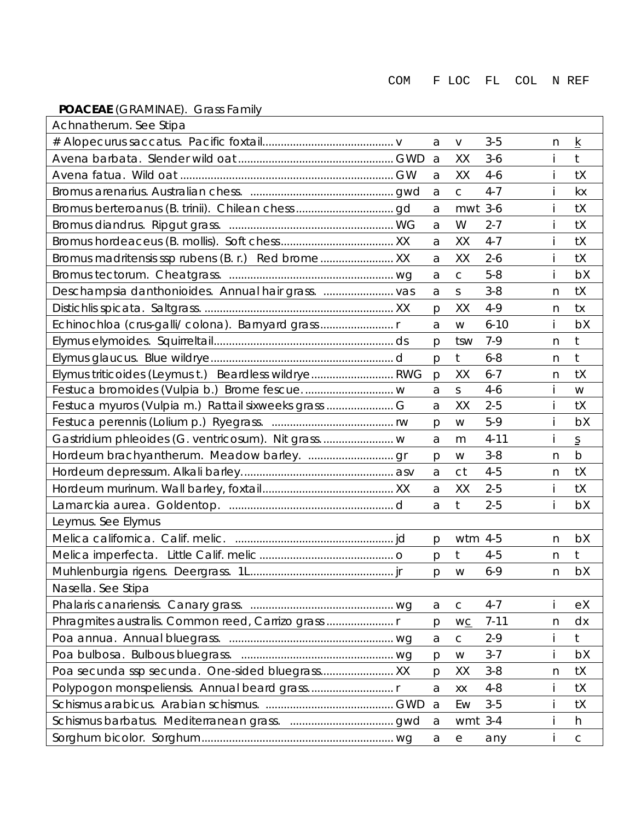# **POACEAE** (GRAMINAE). Grass Family

| Achnatherum. See Stipa                               |              |              |          |   |                          |
|------------------------------------------------------|--------------|--------------|----------|---|--------------------------|
|                                                      | a            | $\vee$       | $3 - 5$  | n | k                        |
|                                                      | a            | XX           | $3 - 6$  |   | $\mathsf{t}$             |
|                                                      | a            | XX           | $4-6$    |   | tX                       |
|                                                      | a            | $\mathsf{C}$ | $4 - 7$  |   | kx                       |
|                                                      | a            | mwt 3-6      |          |   | tX                       |
|                                                      | a            | W            | $2 - 7$  |   | tX                       |
|                                                      | a            | XX           | $4 - 7$  |   | tX                       |
| Bromus madritensis ssp rubens (B. r.) Red brome  XX  | a            | XX           | $2 - 6$  |   | tX                       |
|                                                      | a            | $\mathsf C$  | $5 - 8$  |   | bX                       |
| Deschampsia danthonioides. Annual hair grass.  vas   | a            | S            | $3 - 8$  | n | tX                       |
|                                                      | p            | XX           | $4 - 9$  | n | tx                       |
| Echinochloa (crus-galli/ colona). Barnyard grass     | a            | W            | $6 - 10$ |   | bX                       |
|                                                      | р            | tsw          | $7-9$    | n | $t$                      |
|                                                      | p            | $\mathsf{t}$ | $6 - 8$  | n | $\mathsf{t}$             |
| Elymus triticoides (Leymus t.) Beardless wildrye RWG | p            | XX           | $6 - 7$  | n | tX                       |
|                                                      | a            | $\mathsf S$  | $4 - 6$  |   | W                        |
| Festuca myuros (Vulpia m.) Rattail sixweeks grass    | a            | XX           | $2 - 5$  |   | tX                       |
|                                                      | р            | W            | $5-9$    |   | bX                       |
| Gastridium phleoides (G. ventricosum). Nit grass w   | a            | m            | $4 - 11$ |   | $\underline{\mathsf{S}}$ |
|                                                      | p            | W            | $3 - 8$  | n | $\mathsf b$              |
|                                                      | a            | ct           | $4 - 5$  | n | tX                       |
|                                                      | a            | XX           | $2 - 5$  |   | tX                       |
|                                                      | a            | t            | $2 - 5$  |   | bX                       |
| Leymus. See Elymus                                   |              |              |          |   |                          |
|                                                      | p            | wtm 4-5      |          | n | bX                       |
|                                                      | p            | $\mathsf{t}$ | $4 - 5$  | n | t                        |
|                                                      | p            | W            | $6 - 9$  | n | bX                       |
| Nasella. See Stipa                                   |              |              |          |   |                          |
|                                                      | a            | $\mathsf C$  | $4 - 7$  |   | eX                       |
| Phragmites australis. Common reed, Carrizo grass     | p            | WC           | $7 - 11$ | n | dx                       |
|                                                      | $\mathsf{a}$ | $\mathsf{C}$ | $2 - 9$  |   | t                        |
|                                                      | p            | W            | $3 - 7$  |   | bX                       |
|                                                      | р            | XХ           | $3 - 8$  | n | tX                       |
| Polypogon monspeliensis. Annual beard grass          | a            | XX           | $4 - 8$  |   | tX                       |
|                                                      | a            | Ew           | $3-5$    |   | tX                       |
|                                                      | a            | wmt $3-4$    |          |   | h                        |
|                                                      | a            | е            | any      |   | $\mathsf C$              |